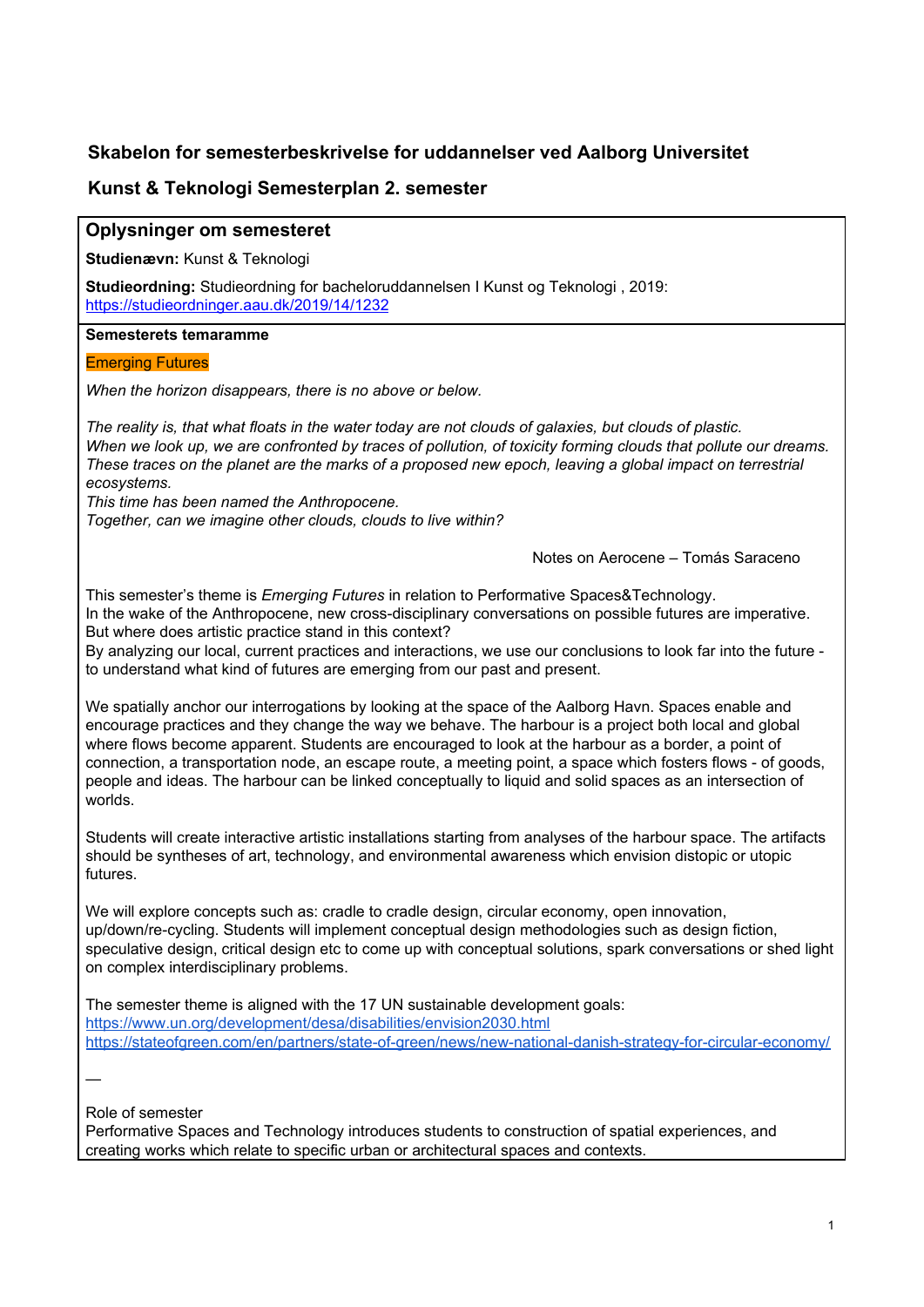# **Skabelon for semesterbeskrivelse for uddannelser ved Aalborg Universitet**

# **Kunst & Teknologi Semesterplan 2. semester**

#### **Oplysninger om semesteret**

**Studienævn:** Kunst & Teknologi

**Studieordning:** Studieordning for bacheloruddannelsen I Kunst og Teknologi , 2019: <https://studieordninger.aau.dk/2019/14/1232>

**Semesterets temaramme**

#### Emerging Futures

*When the horizon disappears, there is no above or below.*

The reality is, that what floats in the water today are not clouds of galaxies, but clouds of plastic. When we look up, we are confronted by traces of pollution, of toxicity forming clouds that pollute our dreams. These traces on the planet are the marks of a proposed new epoch, leaving a global impact on terrestrial *ecosystems.*

*This time has been named the Anthropocene.*

*Together, can we imagine other clouds, clouds to live within?*

Notes on Aerocene – Tomás Saraceno

This semester's theme is *Emerging Futures* in relation to Performative Spaces&Technology. In the wake of the Anthropocene, new cross-disciplinary conversations on possible futures are imperative. But where does artistic practice stand in this context?

By analyzing our local, current practices and interactions, we use our conclusions to look far into the future to understand what kind of futures are emerging from our past and present.

We spatially anchor our interrogations by looking at the space of the Aalborg Havn. Spaces enable and encourage practices and they change the way we behave. The harbour is a project both local and global where flows become apparent. Students are encouraged to look at the harbour as a border, a point of connection, a transportation node, an escape route, a meeting point, a space which fosters flows - of goods, people and ideas. The harbour can be linked conceptually to liquid and solid spaces as an intersection of worlds.

Students will create interactive artistic installations starting from analyses of the harbour space. The artifacts should be syntheses of art, technology, and environmental awareness which envision distopic or utopic futures.

We will explore concepts such as: cradle to cradle design, circular economy, open innovation, up/down/re-cycling. Students will implement conceptual design methodologies such as design fiction, speculative design, critical design etc to come up with conceptual solutions, spark conversations or shed light on complex interdisciplinary problems.

The semester theme is aligned with the 17 UN sustainable development goals: <https://www.un.org/development/desa/disabilities/envision2030.html> <https://stateofgreen.com/en/partners/state-of-green/news/new-national-danish-strategy-for-circular-economy/>

—

Role of semester

Performative Spaces and Technology introduces students to construction of spatial experiences, and creating works which relate to specific urban or architectural spaces and contexts.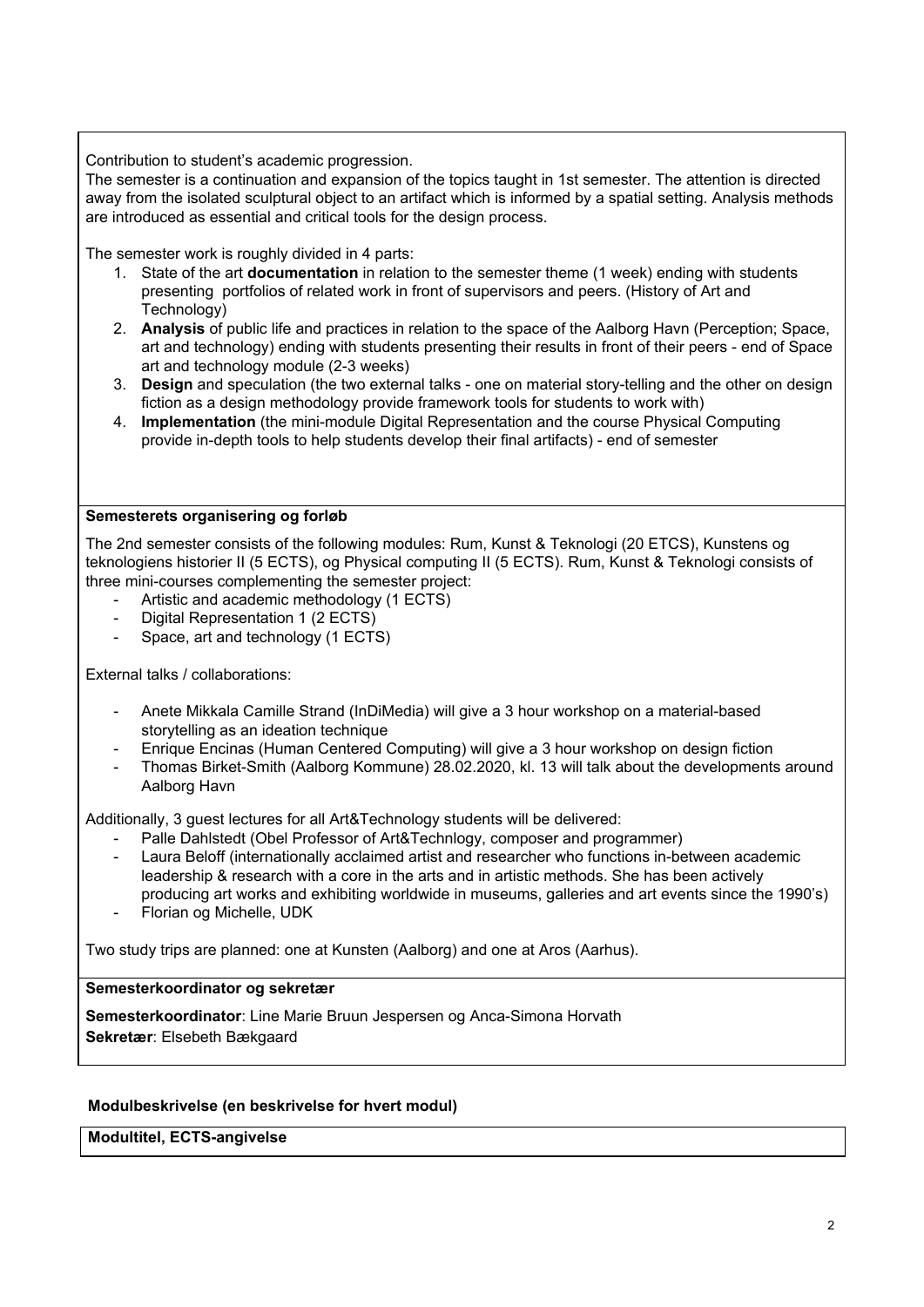Contribution to student's academic progression.

The semester is a continuation and expansion of the topics taught in 1st semester. The attention is directed away from the isolated sculptural object to an artifact which is informed by a spatial setting. Analysis methods are introduced as essential and critical tools for the design process.

The semester work is roughly divided in 4 parts:

- 1. State of the art **documentation** in relation to the semester theme (1 week) ending with students presenting portfolios of related work in front of supervisors and peers. (History of Art and Technology)
- 2. **Analysis** of public life and practices in relation to the space of the Aalborg Havn (Perception; Space, art and technology) ending with students presenting their results in front of their peers - end of Space art and technology module (2-3 weeks)
- 3. **Design** and speculation (the two external talks one on material story-telling and the other on design fiction as a design methodology provide framework tools for students to work with)
- 4. **Implementation** (the mini-module Digital Representation and the course Physical Computing provide in-depth tools to help students develop their final artifacts) - end of semester

# **Semesterets organisering og forløb**

The 2nd semester consists of the following modules: Rum, Kunst & Teknologi (20 ETCS), Kunstens og teknologiens historier II (5 ECTS), og Physical computing II (5 ECTS). Rum, Kunst & Teknologi consists of three mini-courses complementing the semester project:

- Artistic and academic methodology (1 ECTS)
- Digital Representation 1 (2 ECTS)
- Space, art and technology (1 ECTS)

External talks / collaborations:

- Anete Mikkala Camille Strand (InDiMedia) will give a 3 hour workshop on a material-based storytelling as an ideation technique
- Enrique Encinas (Human Centered Computing) will give a 3 hour workshop on design fiction
- Thomas Birket-Smith (Aalborg Kommune) 28.02.2020, kl. 13 will talk about the developments around Aalborg Havn

Additionally, 3 guest lectures for all Art&Technology students will be delivered:

- Palle Dahlstedt (Obel Professor of Art&Technlogy, composer and programmer)
- Laura Beloff (internationally acclaimed artist and researcher who functions in-between academic leadership & research with a core in the arts and in artistic methods. She has been actively producing art works and exhibiting worldwide in museums, galleries and art events since the 1990's)
- Florian og Michelle, UDK

Two study trips are planned: one at Kunsten (Aalborg) and one at Aros (Aarhus).

#### **Semesterkoordinator og sekretær**

**Semesterkoordinator**: Line Marie Bruun Jespersen og Anca-Simona Horvath **Sekretær**: Elsebeth Bækgaard

#### **Modulbeskrivelse (en beskrivelse for hvert modul)**

**Modultitel, ECTS-angivelse**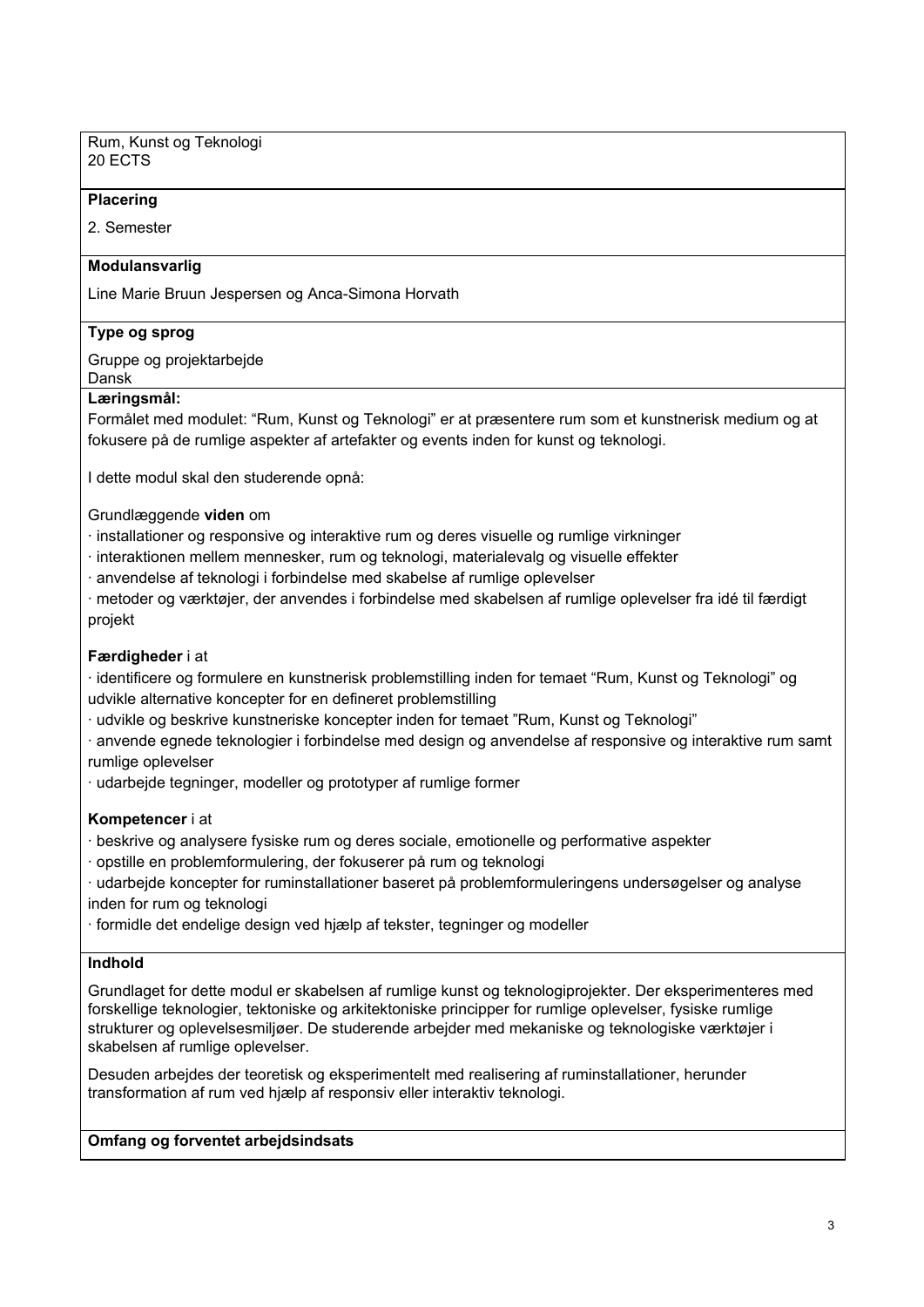Rum, Kunst og Teknologi 20 ECTS

#### **Placering**

2. Semester

#### **Modulansvarlig**

Line Marie Bruun Jespersen og Anca-Simona Horvath

#### **Type og sprog**

Gruppe og projektarbejde

#### Dansk **Læringsmål:**

Formålet med modulet: "Rum, Kunst og Teknologi" er at præsentere rum som et kunstnerisk medium og at fokusere på de rumlige aspekter af artefakter og events inden for kunst og teknologi.

I dette modul skal den studerende opnå:

Grundlæggende **viden** om

· installationer og responsive og interaktive rum og deres visuelle og rumlige virkninger

· interaktionen mellem mennesker, rum og teknologi, materialevalg og visuelle effekter

· anvendelse af teknologi i forbindelse med skabelse af rumlige oplevelser

· metoder og værktøjer, der anvendes i forbindelse med skabelsen af rumlige oplevelser fra idé til færdigt projekt

#### **Færdigheder** i at

· identificere og formulere en kunstnerisk problemstilling inden for temaet "Rum, Kunst og Teknologi" og udvikle alternative koncepter for en defineret problemstilling

· udvikle og beskrive kunstneriske koncepter inden for temaet "Rum, Kunst og Teknologi"

- · anvende egnede teknologier i forbindelse med design og anvendelse af responsive og interaktive rum samt rumlige oplevelser
- · udarbejde tegninger, modeller og prototyper af rumlige former

#### **Kompetencer** i at

· beskrive og analysere fysiske rum og deres sociale, emotionelle og performative aspekter

- · opstille en problemformulering, der fokuserer på rum og teknologi
- · udarbejde koncepter for ruminstallationer baseret på problemformuleringens undersøgelser og analyse inden for rum og teknologi
- · formidle det endelige design ved hjælp af tekster, tegninger og modeller

#### **Indhold**

Grundlaget for dette modul er skabelsen af rumlige kunst og teknologiprojekter. Der eksperimenteres med forskellige teknologier, tektoniske og arkitektoniske principper for rumlige oplevelser, fysiske rumlige strukturer og oplevelsesmiljøer. De studerende arbejder med mekaniske og teknologiske værktøjer i skabelsen af rumlige oplevelser.

Desuden arbejdes der teoretisk og eksperimentelt med realisering af ruminstallationer, herunder transformation af rum ved hjælp af responsiv eller interaktiv teknologi.

#### **Omfang og forventet arbejdsindsats**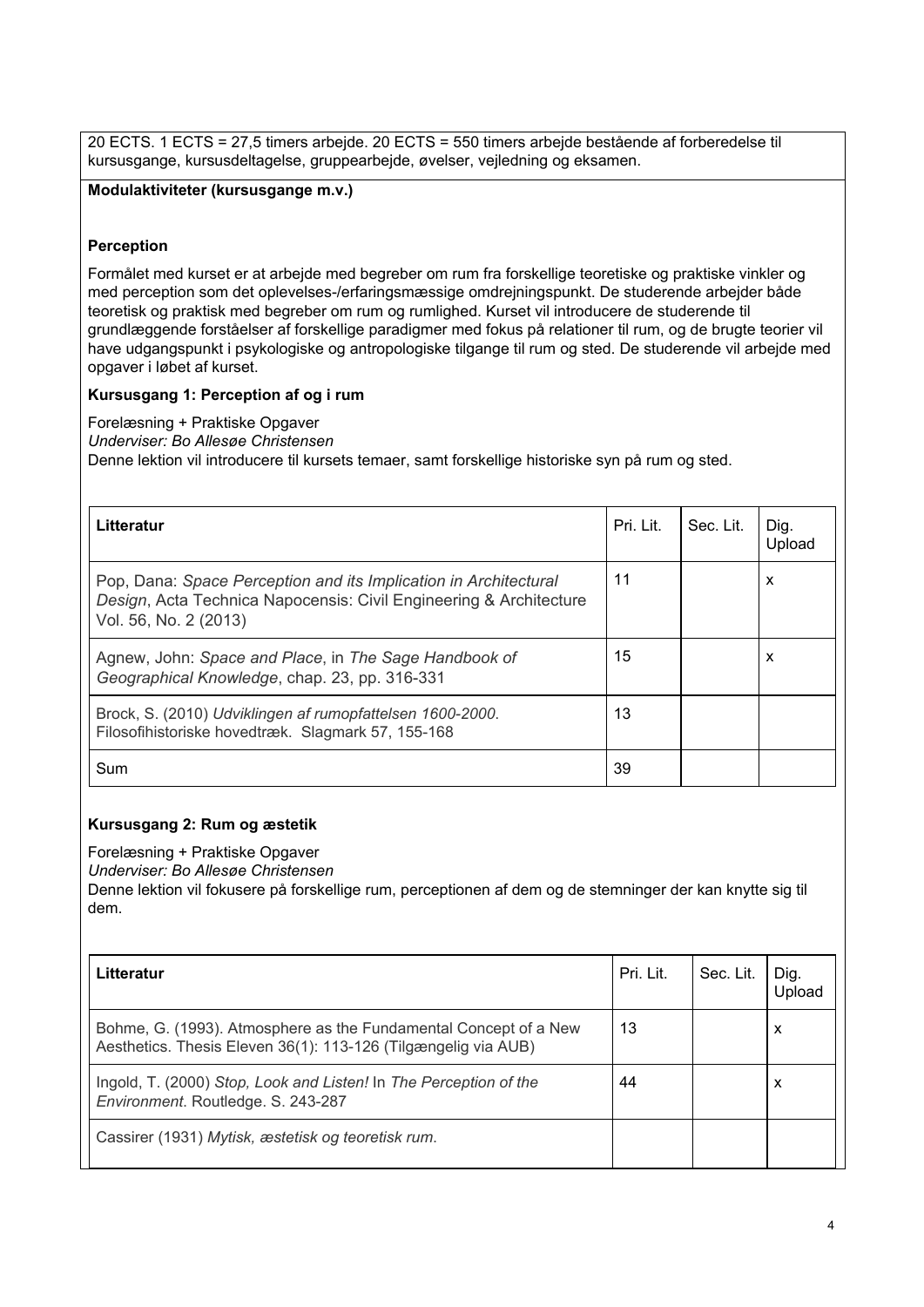20 ECTS. 1 ECTS = 27,5 timers arbejde. 20 ECTS = 550 timers arbejde bestående af forberedelse til kursusgange, kursusdeltagelse, gruppearbejde, øvelser, vejledning og eksamen.

**Modulaktiviteter (kursusgange m.v.)**

#### **Perception**

Formålet med kurset er at arbejde med begreber om rum fra forskellige teoretiske og praktiske vinkler og med perception som det oplevelses-/erfaringsmæssige omdrejningspunkt. De studerende arbejder både teoretisk og praktisk med begreber om rum og rumlighed. Kurset vil introducere de studerende til grundlæggende forståelser af forskellige paradigmer med fokus på relationer til rum, og de brugte teorier vil have udgangspunkt i psykologiske og antropologiske tilgange til rum og sted. De studerende vil arbejde med opgaver i løbet af kurset.

#### **Kursusgang 1: Perception af og i rum**

Forelæsning + Praktiske Opgaver *Underviser: Bo Allesøe Christensen* Denne lektion vil introducere til kursets temaer, samt forskellige historiske syn på rum og sted.

| Litteratur                                                                                                                                                      | Pri. Lit. | Sec. Lit. | Dig.<br>Upload |
|-----------------------------------------------------------------------------------------------------------------------------------------------------------------|-----------|-----------|----------------|
| Pop, Dana: Space Perception and its Implication in Architectural<br>Design, Acta Technica Napocensis: Civil Engineering & Architecture<br>Vol. 56, No. 2 (2013) | 11        |           | X              |
| Agnew, John: Space and Place, in The Sage Handbook of<br>Geographical Knowledge, chap. 23, pp. 316-331                                                          | 15        |           | X              |
| Brock, S. (2010) Udviklingen af rumopfattelsen 1600-2000.<br>Filosofihistoriske hovedtræk. Slagmark 57, 155-168                                                 | 13        |           |                |
| Sum                                                                                                                                                             | 39        |           |                |

#### **Kursusgang 2: Rum og æstetik**

Forelæsning + Praktiske Opgaver

*Underviser: Bo Allesøe Christensen*

Denne lektion vil fokusere på forskellige rum, perceptionen af dem og de stemninger der kan knytte sig til dem.

| Litteratur                                                                                                                         | Pri. Lit. | Sec. Lit. | Dig.<br>Jpload |
|------------------------------------------------------------------------------------------------------------------------------------|-----------|-----------|----------------|
| Bohme, G. (1993). Atmosphere as the Fundamental Concept of a New<br>Aesthetics. Thesis Eleven 36(1): 113-126 (Tilgængelig via AUB) | 13        |           | х              |
| Ingold, T. (2000) Stop, Look and Listen! In The Perception of the<br>Environment. Routledge. S. 243-287                            | 44        |           | х              |
| Cassirer (1931) Mytisk, æstetisk og teoretisk rum.                                                                                 |           |           |                |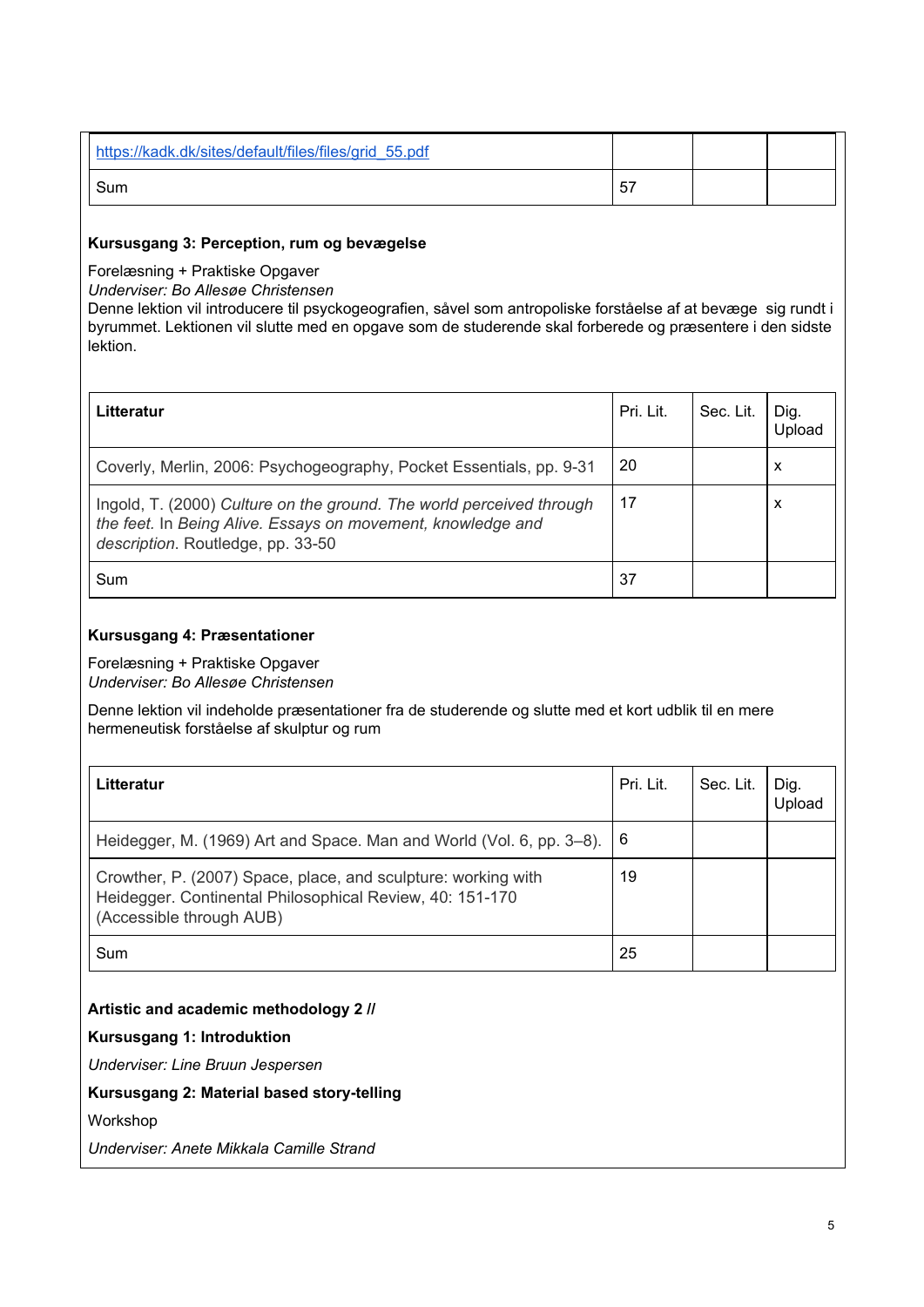| https://kadk.dk/sites/default/files/files/grid 55.pdf |    |  |
|-------------------------------------------------------|----|--|
| Sum                                                   | 57 |  |

#### **Kursusgang 3: Perception, rum og bevægelse**

Forelæsning + Praktiske Opgaver

*Underviser: Bo Allesøe Christensen*

Denne lektion vil introducere til psyckogeografien, såvel som antropoliske forståelse af at bevæge sig rundt i byrummet. Lektionen vil slutte med en opgave som de studerende skal forberede og præsentere i den sidste lektion.

| Litteratur                                                                                                                                                               | Pri. Lit. | Sec. Lit. | Dig.<br>Upload |
|--------------------------------------------------------------------------------------------------------------------------------------------------------------------------|-----------|-----------|----------------|
| Coverly, Merlin, 2006: Psychogeography, Pocket Essentials, pp. 9-31                                                                                                      | 20        |           | X              |
| Ingold, T. (2000) Culture on the ground. The world perceived through<br>the feet. In Being Alive. Essays on movement, knowledge and<br>description. Routledge, pp. 33-50 | 17        |           | X              |
| Sum                                                                                                                                                                      | 37        |           |                |

# **Kursusgang 4: Præsentationer**

Forelæsning + Praktiske Opgaver *Underviser: Bo Allesøe Christensen*

Denne lektion vil indeholde præsentationer fra de studerende og slutte med et kort udblik til en mere hermeneutisk forståelse af skulptur og rum

| Litteratur                                                                                                                                            | Pri. Lit. | Sec. Lit. | Dig.<br>Upload |
|-------------------------------------------------------------------------------------------------------------------------------------------------------|-----------|-----------|----------------|
| Heidegger, M. (1969) Art and Space. Man and World (Vol. 6, pp. 3–8). 6                                                                                |           |           |                |
| Crowther, P. (2007) Space, place, and sculpture: working with<br>Heidegger. Continental Philosophical Review, 40: 151-170<br>(Accessible through AUB) | 19        |           |                |
| Sum                                                                                                                                                   | 25        |           |                |

# **Artistic and academic methodology 2 //**

#### **Kursusgang 1: Introduktion**

*Underviser: Line Bruun Jespersen*

# **Kursusgang 2: Material based story-telling**

Workshop

*Underviser: Anete Mikkala Camille Strand*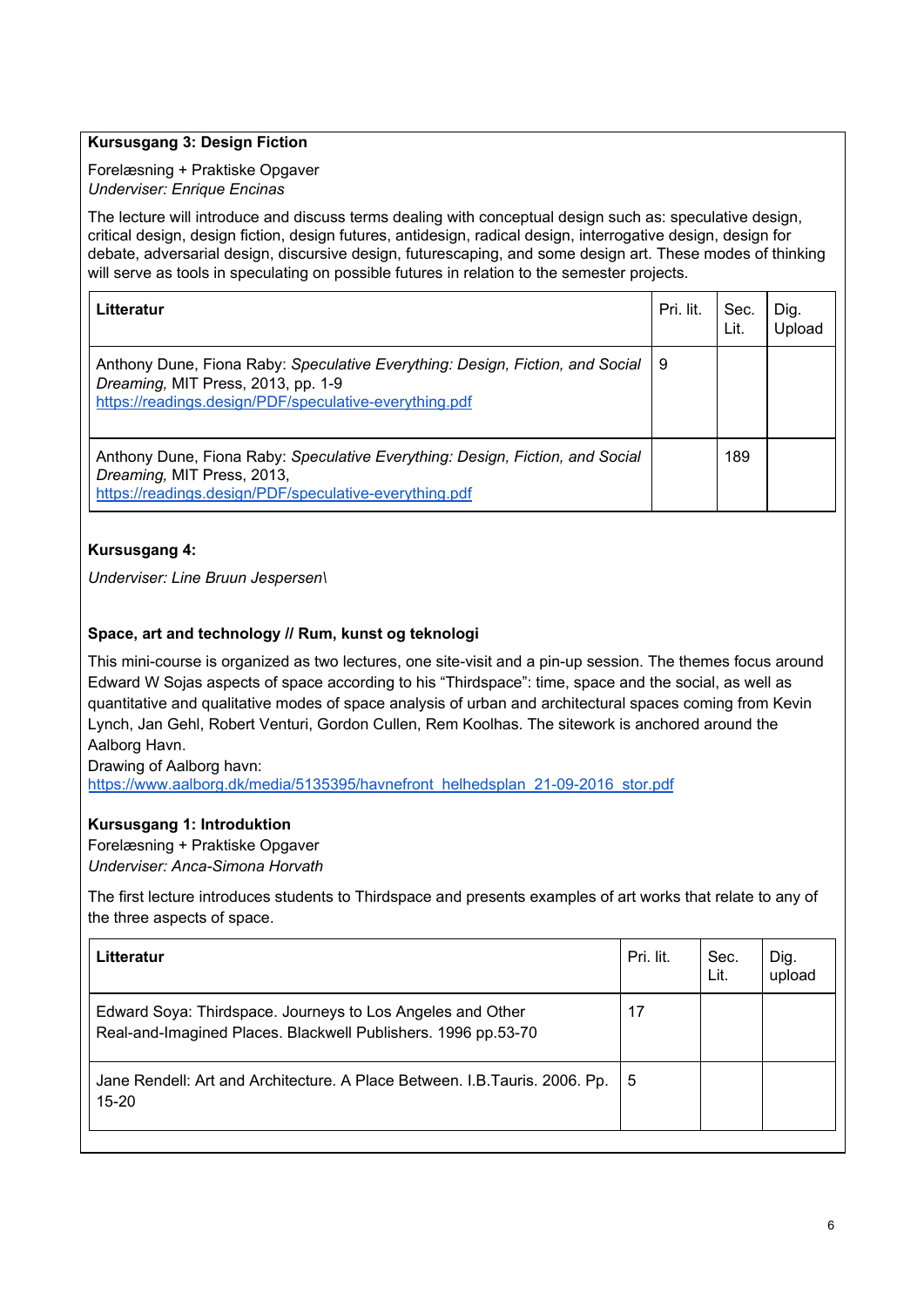## **Kursusgang 3: Design Fiction**

Forelæsning + Praktiske Opgaver *Underviser: Enrique Encinas*

The lecture will introduce and discuss terms dealing with conceptual design such as: speculative design, critical design, design fiction, design futures, antidesign, radical design, interrogative design, design for debate, adversarial design, discursive design, futurescaping, and some design art. These modes of thinking will serve as tools in speculating on possible futures in relation to the semester projects.

| Litteratur                                                                                                                                                                    | Pri. lit. | Sec.<br>Lit. | Dig.<br>Jpload |
|-------------------------------------------------------------------------------------------------------------------------------------------------------------------------------|-----------|--------------|----------------|
| Anthony Dune, Fiona Raby: Speculative Everything: Design, Fiction, and Social<br>Dreaming, MIT Press, 2013, pp. 1-9<br>https://readings.design/PDF/speculative-everything.pdf | - 9       |              |                |
| Anthony Dune, Fiona Raby: Speculative Everything: Design, Fiction, and Social<br>Dreaming, MIT Press, 2013,<br>https://readings.design/PDF/speculative-everything.pdf         |           | 189          |                |

# **Kursusgang 4:**

*Underviser: Line Bruun Jespersen\*

# **Space, art and technology // Rum, kunst og teknologi**

This mini-course is organized as two lectures, one site-visit and a pin-up session. The themes focus around Edward W Sojas aspects of space according to his "Thirdspace": time, space and the social, as well as quantitative and qualitative modes of space analysis of urban and architectural spaces coming from Kevin Lynch, Jan Gehl, Robert Venturi, Gordon Cullen, Rem Koolhas. The sitework is anchored around the Aalborg Havn.

Drawing of Aalborg havn: [https://www.aalborg.dk/media/5135395/havnefront\\_helhedsplan\\_21-09-2016\\_stor.pdf](https://www.aalborg.dk/media/5135395/havnefront_helhedsplan_21-09-2016_stor.pdf)

#### **Kursusgang 1: Introduktion**

Forelæsning + Praktiske Opgaver *Underviser: Anca-Simona Horvath*

The first lecture introduces students to Thirdspace and presents examples of art works that relate to any of the three aspects of space.

| Litteratur                                                                                                                  | Pri. lit. | Sec.<br>Lit. | Dig.<br>upload |
|-----------------------------------------------------------------------------------------------------------------------------|-----------|--------------|----------------|
| Edward Soya: Thirdspace. Journeys to Los Angeles and Other<br>Real-and-Imagined Places. Blackwell Publishers. 1996 pp.53-70 | 17        |              |                |
| Jane Rendell: Art and Architecture. A Place Between. I.B. Tauris. 2006. Pp.<br>$15 - 20$                                    | 15        |              |                |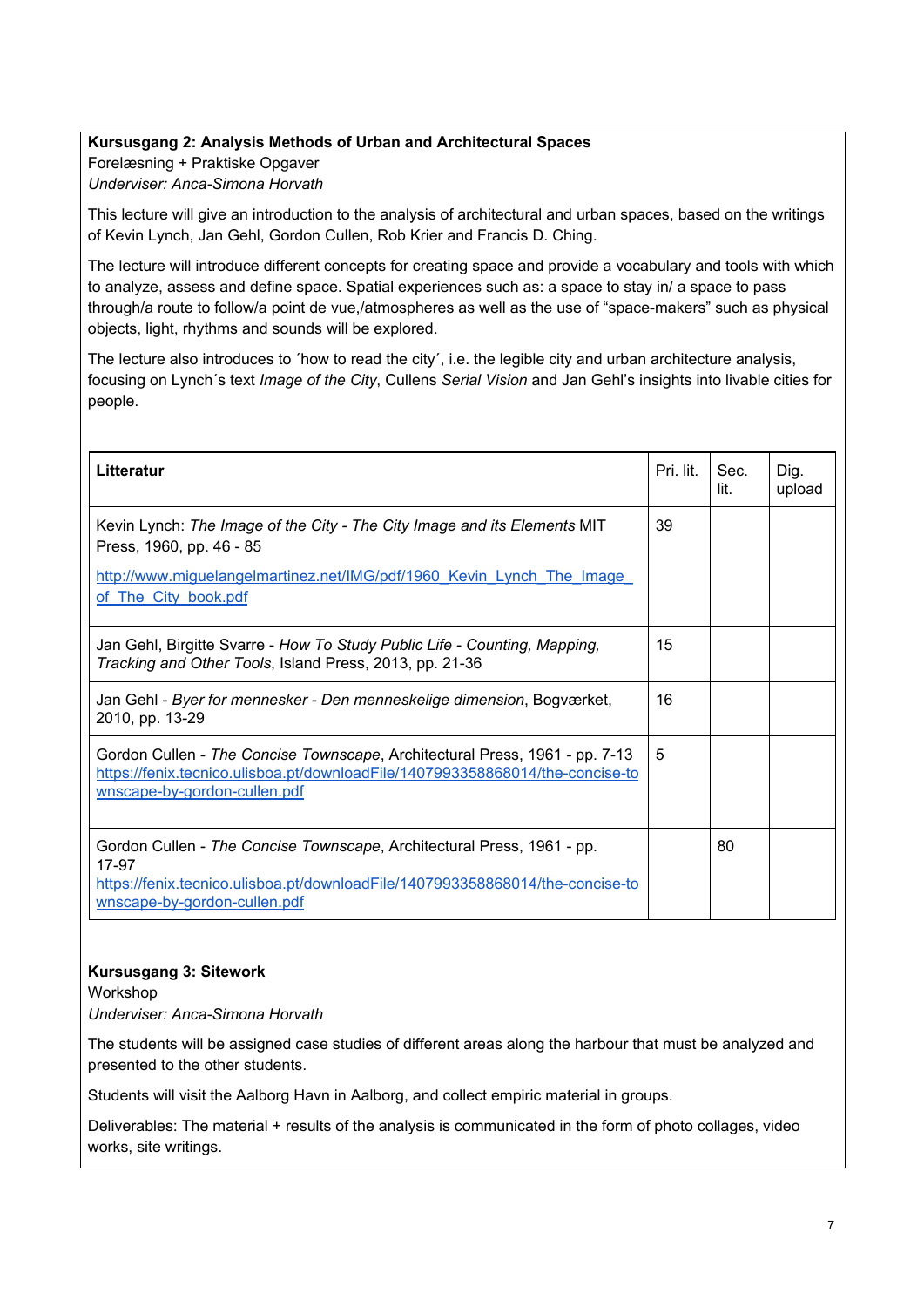## **Kursusgang 2: Analysis Methods of Urban and Architectural Spaces**

Forelæsning + Praktiske Opgaver *Underviser: Anca-Simona Horvath*

This lecture will give an introduction to the analysis of architectural and urban spaces, based on the writings of Kevin Lynch, Jan Gehl, Gordon Cullen, Rob Krier and Francis D. Ching.

The lecture will introduce different concepts for creating space and provide a vocabulary and tools with which to analyze, assess and define space. Spatial experiences such as: a space to stay in/ a space to pass through/a route to follow/a point de vue,/atmospheres as well as the use of "space-makers" such as physical objects, light, rhythms and sounds will be explored.

The lecture also introduces to ´how to read the city´, i.e. the legible city and urban architecture analysis, focusing on Lynch´s text *Image of the City*, Cullens *Serial Vision* and Jan Gehl's insights into livable cities for people.

| Litteratur                                                                                                                                                                                       | Pri. lit. | Sec.<br>lit. | Dig.<br>upload |
|--------------------------------------------------------------------------------------------------------------------------------------------------------------------------------------------------|-----------|--------------|----------------|
| Kevin Lynch: The Image of the City - The City Image and its Elements MIT<br>Press, 1960, pp. 46 - 85                                                                                             | 39        |              |                |
| http://www.miquelangelmartinez.net/IMG/pdf/1960 Kevin Lynch The Image<br>of The City book.pdf                                                                                                    |           |              |                |
| Jan Gehl, Birgitte Svarre - How To Study Public Life - Counting, Mapping,<br>Tracking and Other Tools, Island Press, 2013, pp. 21-36                                                             | 15        |              |                |
| Jan Gehl - Byer for mennesker - Den menneskelige dimension, Bogværket,<br>2010, pp. 13-29                                                                                                        | 16        |              |                |
| Gordon Cullen - The Concise Townscape, Architectural Press, 1961 - pp. 7-13<br>https://fenix.tecnico.ulisboa.pt/downloadFile/1407993358868014/the-concise-to<br>wnscape-by-gordon-cullen.pdf     | 5         |              |                |
| Gordon Cullen - The Concise Townscape, Architectural Press, 1961 - pp.<br>17-97<br>https://fenix.tecnico.ulisboa.pt/downloadFile/1407993358868014/the-concise-to<br>wnscape-by-gordon-cullen.pdf |           | 80           |                |

#### **Kursusgang 3: Sitework**

Workshop *Underviser: Anca-Simona Horvath*

The students will be assigned case studies of different areas along the harbour that must be analyzed and presented to the other students.

Students will visit the Aalborg Havn in Aalborg, and collect empiric material in groups.

Deliverables: The material + results of the analysis is communicated in the form of photo collages, video works, site writings.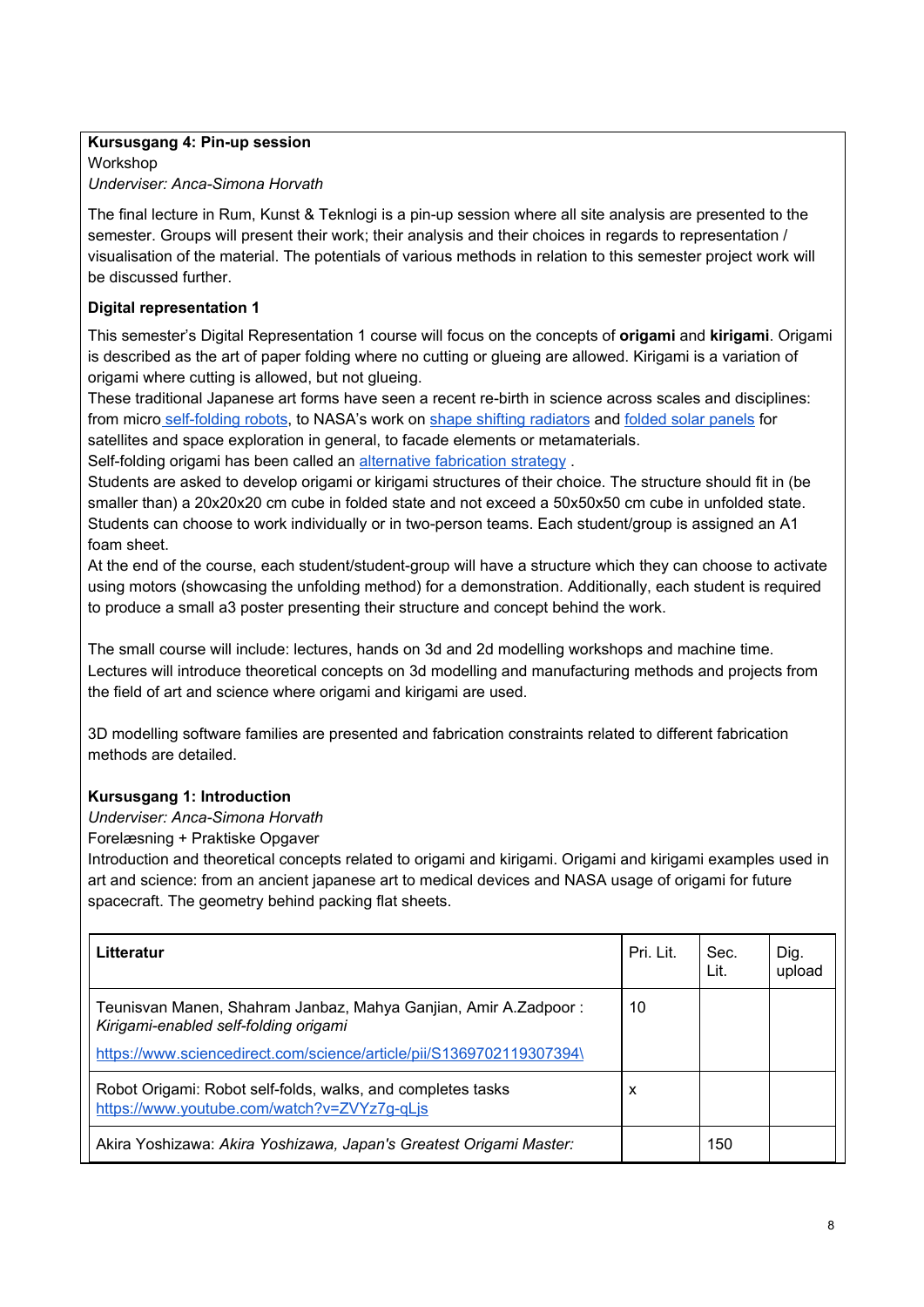# **Kursusgang 4: Pin-up session**

Workshop *Underviser: Anca-Simona Horvath*

The final lecture in Rum, Kunst & Teknlogi is a pin-up session where all site analysis are presented to the semester. Groups will present their work; their analysis and their choices in regards to representation / visualisation of the material. The potentials of various methods in relation to this semester project work will be discussed further.

# **Digital representation 1**

This semester's Digital Representation 1 course will focus on the concepts of **origami** and **kirigami**. Origami is described as the art of paper folding where no cutting or glueing are allowed. Kirigami is a variation of origami where cutting is allowed, but not glueing.

These traditional Japanese art forms have seen a recent re-birth in science across scales and disciplines: from micro [self-folding](https://www.youtube.com/watch?v=ZVYz7g-qLjs) robots, to NASA's work on shape shifting [radiators](https://www.youtube.com/watch?v=ZVYz7g-qLjs) and folded solar [panels](https://www.jpl.nasa.gov/news/news.php?feature=6950) for satellites and space exploration in general, to facade elements or metamaterials.

Self-folding origami has been called an alternative [fabrication](https://www.sciencedirect.com/science/article/pii/S1369702119307394) strategy .

Students are asked to develop origami or kirigami structures of their choice. The structure should fit in (be smaller than) a 20x20x20 cm cube in folded state and not exceed a 50x50x50 cm cube in unfolded state. Students can choose to work individually or in two-person teams. Each student/group is assigned an A1 foam sheet.

At the end of the course, each student/student-group will have a structure which they can choose to activate using motors (showcasing the unfolding method) for a demonstration. Additionally, each student is required to produce a small a3 poster presenting their structure and concept behind the work.

The small course will include: lectures, hands on 3d and 2d modelling workshops and machine time. Lectures will introduce theoretical concepts on 3d modelling and manufacturing methods and projects from the field of art and science where origami and kirigami are used.

3D modelling software families are presented and fabrication constraints related to different fabrication methods are detailed.

# **Kursusgang 1: Introduction**

*Underviser: Anca-Simona Horvath*

Forelæsning + Praktiske Opgaver

Introduction and theoretical concepts related to origami and kirigami. Origami and kirigami examples used in art and science: from an ancient japanese art to medical devices and NASA usage of origami for future spacecraft. The geometry behind packing flat sheets.

| Litteratur                                                                                                                                                                       | Pri. Lit. | Sec.<br>Lit. | Dig.<br>upload |
|----------------------------------------------------------------------------------------------------------------------------------------------------------------------------------|-----------|--------------|----------------|
| Teunisvan Manen, Shahram Janbaz, Mahya Ganjian, Amir A.Zadpoor:<br>Kirigami-enabled self-folding origami<br>https://www.sciencedirect.com/science/article/pii/S1369702119307394\ | 10        |              |                |
| Robot Origami: Robot self-folds, walks, and completes tasks<br>https://www.youtube.com/watch?v=ZVYz7q-qLis                                                                       | х         |              |                |
| Akira Yoshizawa: Akira Yoshizawa, Japan's Greatest Origami Master:                                                                                                               |           | 150          |                |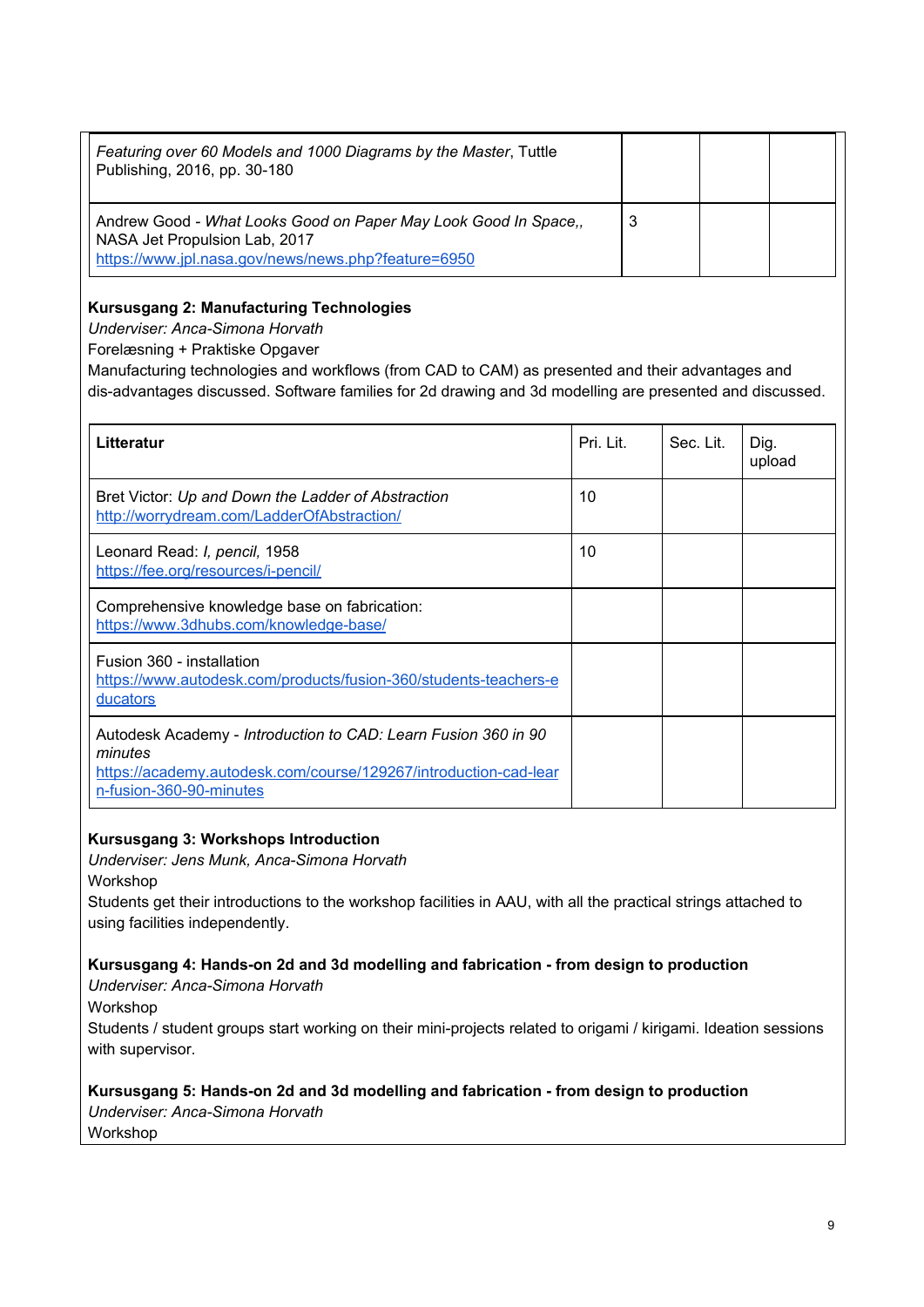| Featuring over 60 Models and 1000 Diagrams by the Master, Tuttle<br>Publishing, 2016, pp. 30-180                                                       |   |  |
|--------------------------------------------------------------------------------------------------------------------------------------------------------|---|--|
| Andrew Good - What Looks Good on Paper May Look Good In Space,<br>NASA Jet Propulsion Lab, 2017<br>https://www.jpl.nasa.gov/news/news.php?feature=6950 | 3 |  |

# **Kursusgang 2: Manufacturing Technologies**

*Underviser: Anca-Simona Horvath*

Forelæsning + Praktiske Opgaver

Manufacturing technologies and workflows (from CAD to CAM) as presented and their advantages and dis-advantages discussed. Software families for 2d drawing and 3d modelling are presented and discussed.

| Litteratur                                                                                                                                                               | Pri. Lit. | Sec. Lit. | Dig.<br>upload |
|--------------------------------------------------------------------------------------------------------------------------------------------------------------------------|-----------|-----------|----------------|
| Bret Victor: Up and Down the Ladder of Abstraction<br>http://worrydream.com/LadderOfAbstraction/                                                                         | 10        |           |                |
| Leonard Read: I, pencil, 1958<br>https://fee.org/resources/i-pencil/                                                                                                     | 10        |           |                |
| Comprehensive knowledge base on fabrication:<br>https://www.3dhubs.com/knowledge-base/                                                                                   |           |           |                |
| Fusion 360 - installation<br>https://www.autodesk.com/products/fusion-360/students-teachers-e<br><u>ducators</u>                                                         |           |           |                |
| Autodesk Academy - Introduction to CAD: Learn Fusion 360 in 90<br>minutes<br>https://academy.autodesk.com/course/129267/introduction-cad-lear<br>n-fusion-360-90-minutes |           |           |                |

# **Kursusgang 3: Workshops Introduction**

*Underviser: Jens Munk, Anca-Simona Horvath*

Workshop

Students get their introductions to the workshop facilities in AAU, with all the practical strings attached to using facilities independently.

#### **Kursusgang 4: Hands-on 2d and 3d modelling and fabrication - from design to production**

*Underviser: Anca-Simona Horvath*

Workshop

Students / student groups start working on their mini-projects related to origami / kirigami. Ideation sessions with supervisor.

# **Kursusgang 5: Hands-on 2d and 3d modelling and fabrication - from design to production**

*Underviser: Anca-Simona Horvath*

Workshop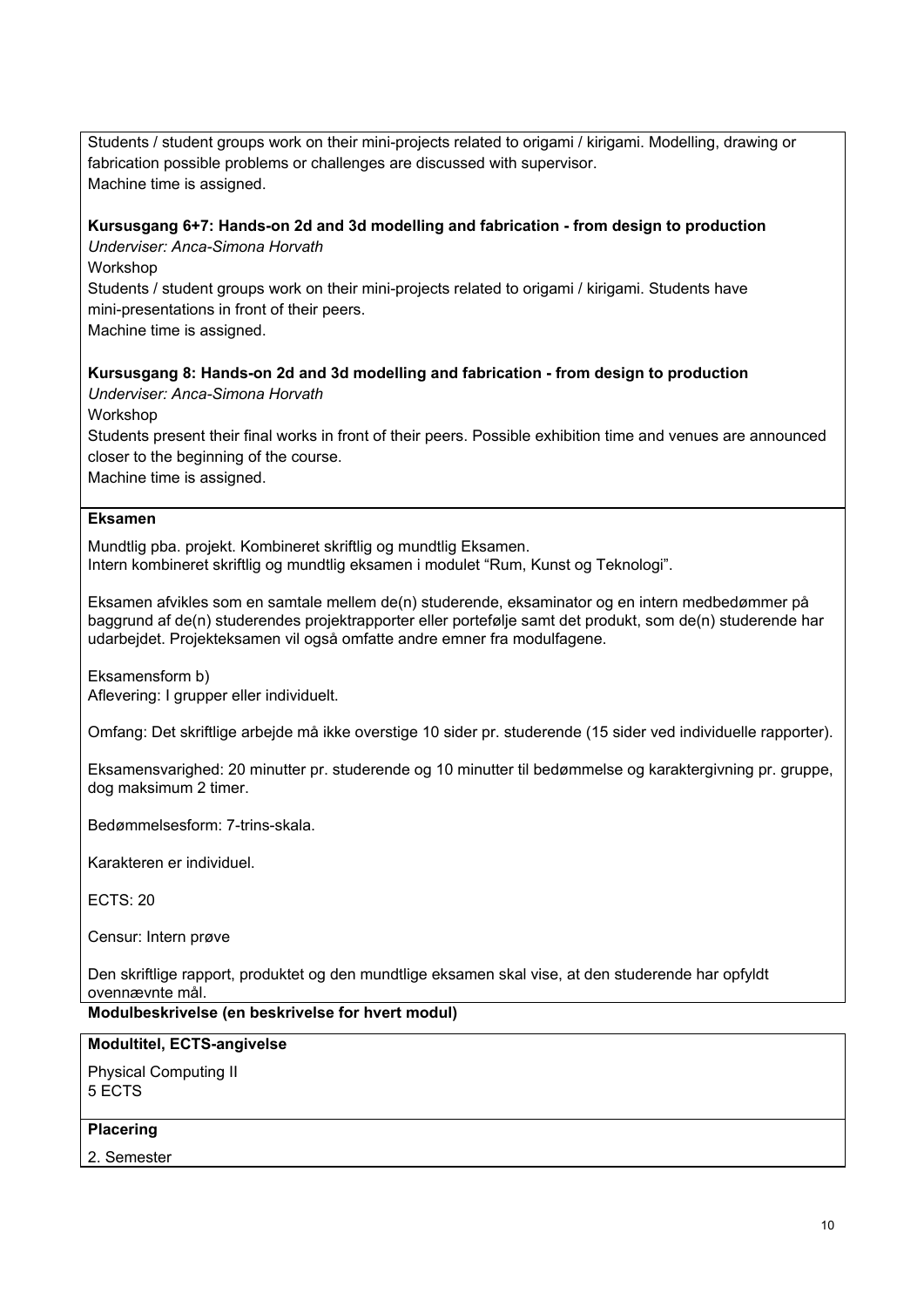Students / student groups work on their mini-projects related to origami / kirigami. Modelling, drawing or fabrication possible problems or challenges are discussed with supervisor. Machine time is assigned.

#### **Kursusgang 6+7: Hands-on 2d and 3d modelling and fabrication - from design to production**

*Underviser: Anca-Simona Horvath*

Workshop

Students / student groups work on their mini-projects related to origami / kirigami. Students have mini-presentations in front of their peers.

Machine time is assigned.

**Kursusgang 8: Hands-on 2d and 3d modelling and fabrication - from design to production**

*Underviser: Anca-Simona Horvath*

Workshop

Students present their final works in front of their peers. Possible exhibition time and venues are announced closer to the beginning of the course.

Machine time is assigned.

#### **Eksamen**

Mundtlig pba. projekt. Kombineret skriftlig og mundtlig Eksamen. Intern kombineret skriftlig og mundtlig eksamen i modulet "Rum, Kunst og Teknologi".

Eksamen afvikles som en samtale mellem de(n) studerende, eksaminator og en intern medbedømmer på baggrund af de(n) studerendes projektrapporter eller portefølje samt det produkt, som de(n) studerende har udarbejdet. Projekteksamen vil også omfatte andre emner fra modulfagene.

Eksamensform b) Aflevering: I grupper eller individuelt.

Omfang: Det skriftlige arbejde må ikke overstige 10 sider pr. studerende (15 sider ved individuelle rapporter).

Eksamensvarighed: 20 minutter pr. studerende og 10 minutter til bedømmelse og karaktergivning pr. gruppe, dog maksimum 2 timer.

Bedømmelsesform: 7-trins-skala.

Karakteren er individuel.

ECTS: 20

Censur: Intern prøve

Den skriftlige rapport, produktet og den mundtlige eksamen skal vise, at den studerende har opfyldt ovennævnte mål.

**Modulbeskrivelse (en beskrivelse for hvert modul)**

#### **Modultitel, ECTS-angivelse**

Physical Computing II 5 ECTS

# **Placering**

2. Semester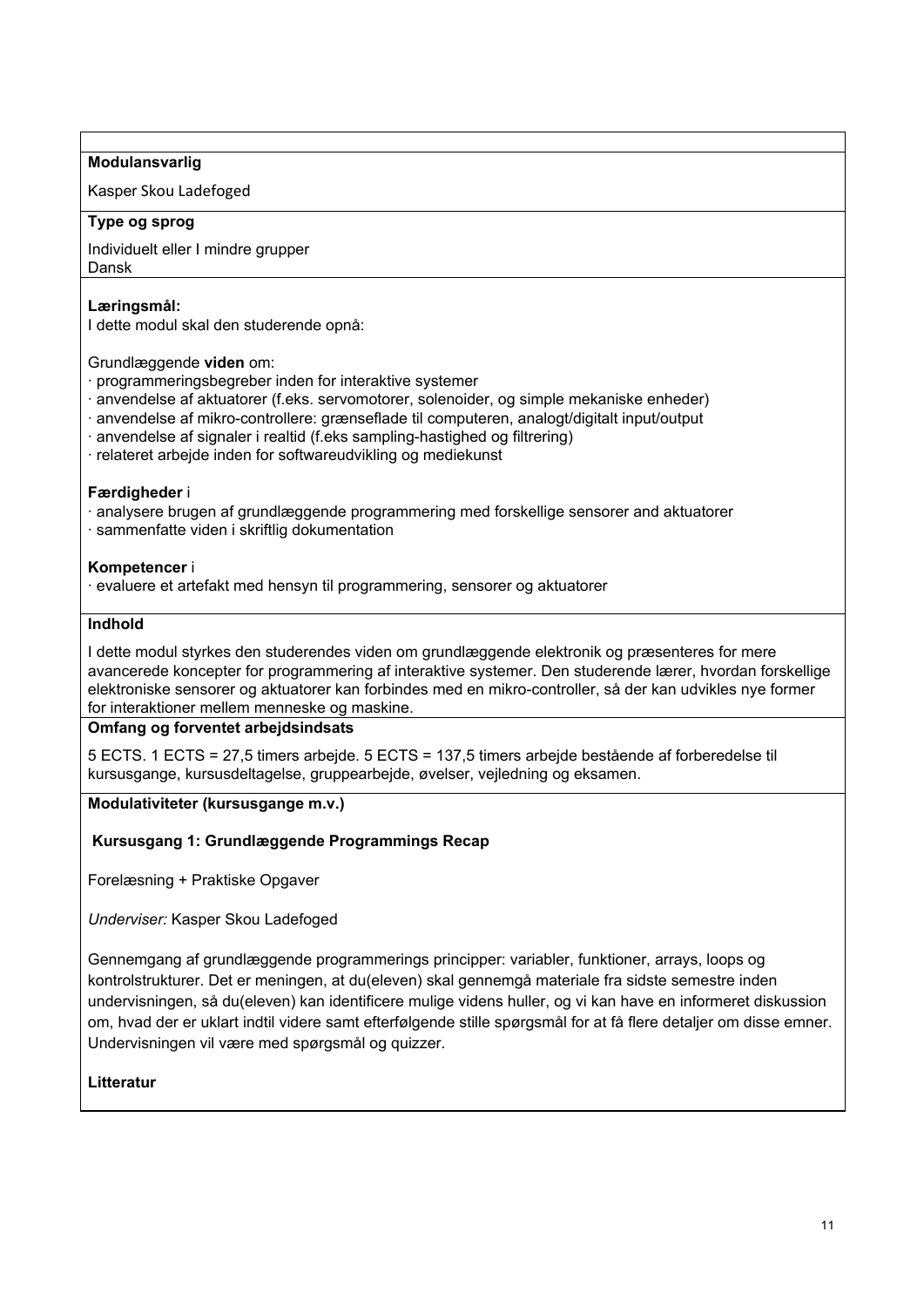#### **Modulansvarlig**

Kasper Skou Ladefoged

#### **Type og sprog**

Individuelt eller I mindre grupper Dansk

# **Læringsmål:**

I dette modul skal den studerende opnå:

Grundlæggende **viden** om:

- · programmeringsbegreber inden for interaktive systemer
- · anvendelse af aktuatorer (f.eks. servomotorer, solenoider, og simple mekaniske enheder)
- · anvendelse af mikro-controllere: grænseflade til computeren, analogt/digitalt input/output
- · anvendelse af signaler i realtid (f.eks sampling-hastighed og filtrering)
- · relateret arbejde inden for softwareudvikling og mediekunst

#### **Færdigheder** i

- · analysere brugen af grundlæggende programmering med forskellige sensorer and aktuatorer
- · sammenfatte viden i skriftlig dokumentation

# **Kompetencer** i

· evaluere et artefakt med hensyn til programmering, sensorer og aktuatorer

#### **Indhold**

I dette modul styrkes den studerendes viden om grundlæggende elektronik og præsenteres for mere avancerede koncepter for programmering af interaktive systemer. Den studerende lærer, hvordan forskellige elektroniske sensorer og aktuatorer kan forbindes med en mikro-controller, så der kan udvikles nye former for interaktioner mellem menneske og maskine.

# **Omfang og forventet arbejdsindsats**

5 ECTS. 1 ECTS = 27,5 timers arbejde. 5 ECTS = 137,5 timers arbejde bestående af forberedelse til kursusgange, kursusdeltagelse, gruppearbejde, øvelser, vejledning og eksamen.

#### **Modulativiteter (kursusgange m.v.)**

**Kursusgang 1: Grundlæggende Programmings Recap**

Forelæsning + Praktiske Opgaver

*Underviser:* Kasper Skou Ladefoged

Gennemgang af grundlæggende programmerings principper: variabler, funktioner, arrays, loops og kontrolstrukturer. Det er meningen, at du(eleven) skal gennemgå materiale fra sidste semestre inden undervisningen, så du(eleven) kan identificere mulige videns huller, og vi kan have en informeret diskussion om, hvad der er uklart indtil videre samt efterfølgende stille spørgsmål for at få flere detaljer om disse emner. Undervisningen vil være med spørgsmål og quizzer.

# **Litteratur**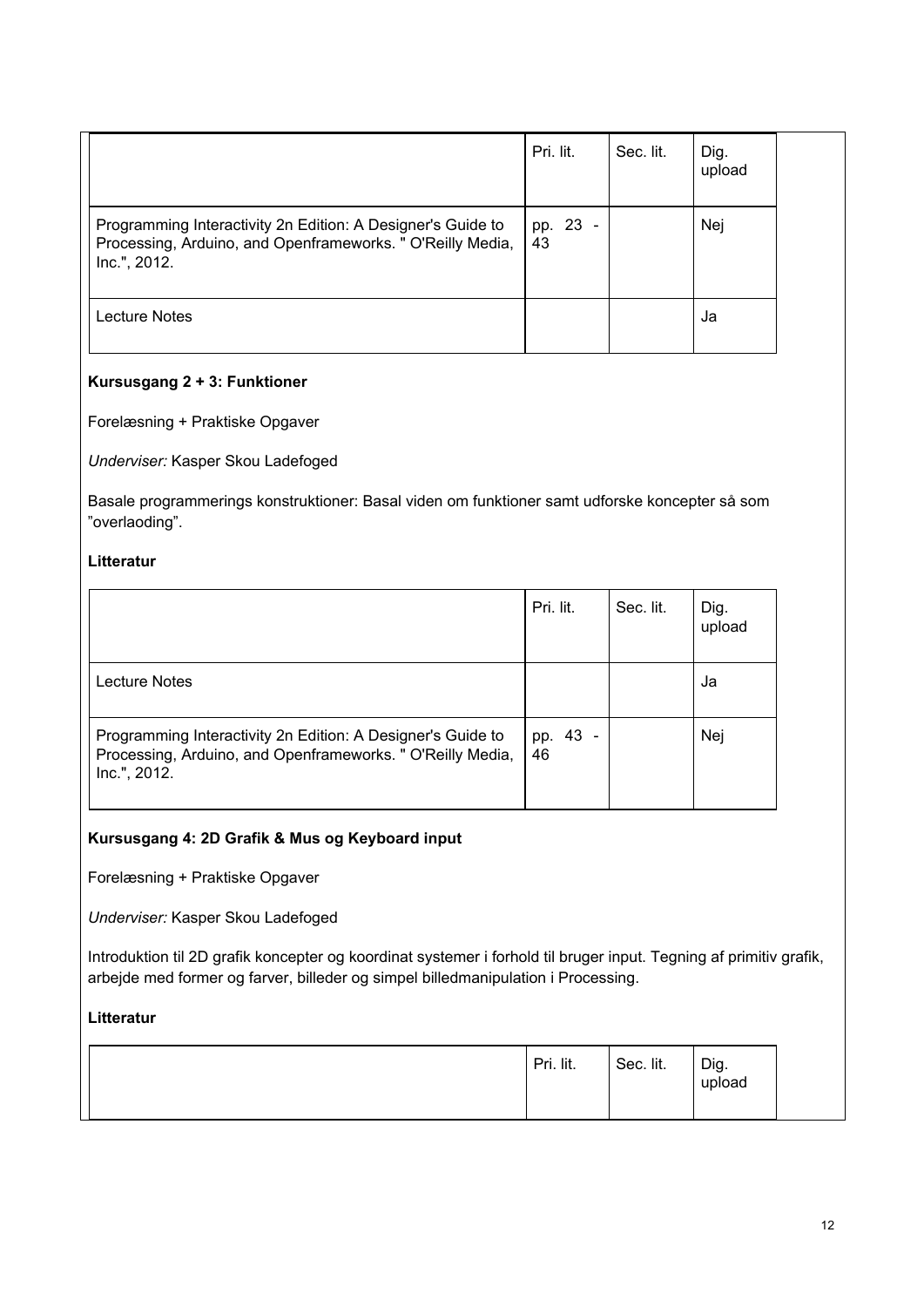|                                                                                                                                           | Pri. lit.      | Sec. lit. | Dig.<br>upload |  |
|-------------------------------------------------------------------------------------------------------------------------------------------|----------------|-----------|----------------|--|
| Programming Interactivity 2n Edition: A Designer's Guide to<br>Processing, Arduino, and Openframeworks. " O'Reilly Media,<br>Inc.", 2012. | pp. 23 -<br>43 |           | Nej            |  |
| Lecture Notes                                                                                                                             |                |           | Ja             |  |

# **Kursusgang 2 + 3: Funktioner**

Forelæsning + Praktiske Opgaver

*Underviser:* Kasper Skou Ladefoged

Basale programmerings konstruktioner: Basal viden om funktioner samt udforske koncepter så som "overlaoding".

# **Litteratur**

|                                                                                                                                           | Pri. lit.      | Sec. lit. | Dig.<br>upload |
|-------------------------------------------------------------------------------------------------------------------------------------------|----------------|-----------|----------------|
| <b>Lecture Notes</b>                                                                                                                      |                |           | Ja             |
| Programming Interactivity 2n Edition: A Designer's Guide to<br>Processing, Arduino, and Openframeworks. " O'Reilly Media,<br>Inc.", 2012. | pp. 43 -<br>46 |           | Nej            |

# **Kursusgang 4: 2D Grafik & Mus og Keyboard input**

Forelæsning + Praktiske Opgaver

*Underviser:* Kasper Skou Ladefoged

Introduktion til 2D grafik koncepter og koordinat systemer i forhold til bruger input. Tegning af primitiv grafik, arbejde med former og farver, billeder og simpel billedmanipulation i Processing.

# **Litteratur**

|  | Pri. lit. | Sec. lit. | Dig.<br>upload |
|--|-----------|-----------|----------------|
|--|-----------|-----------|----------------|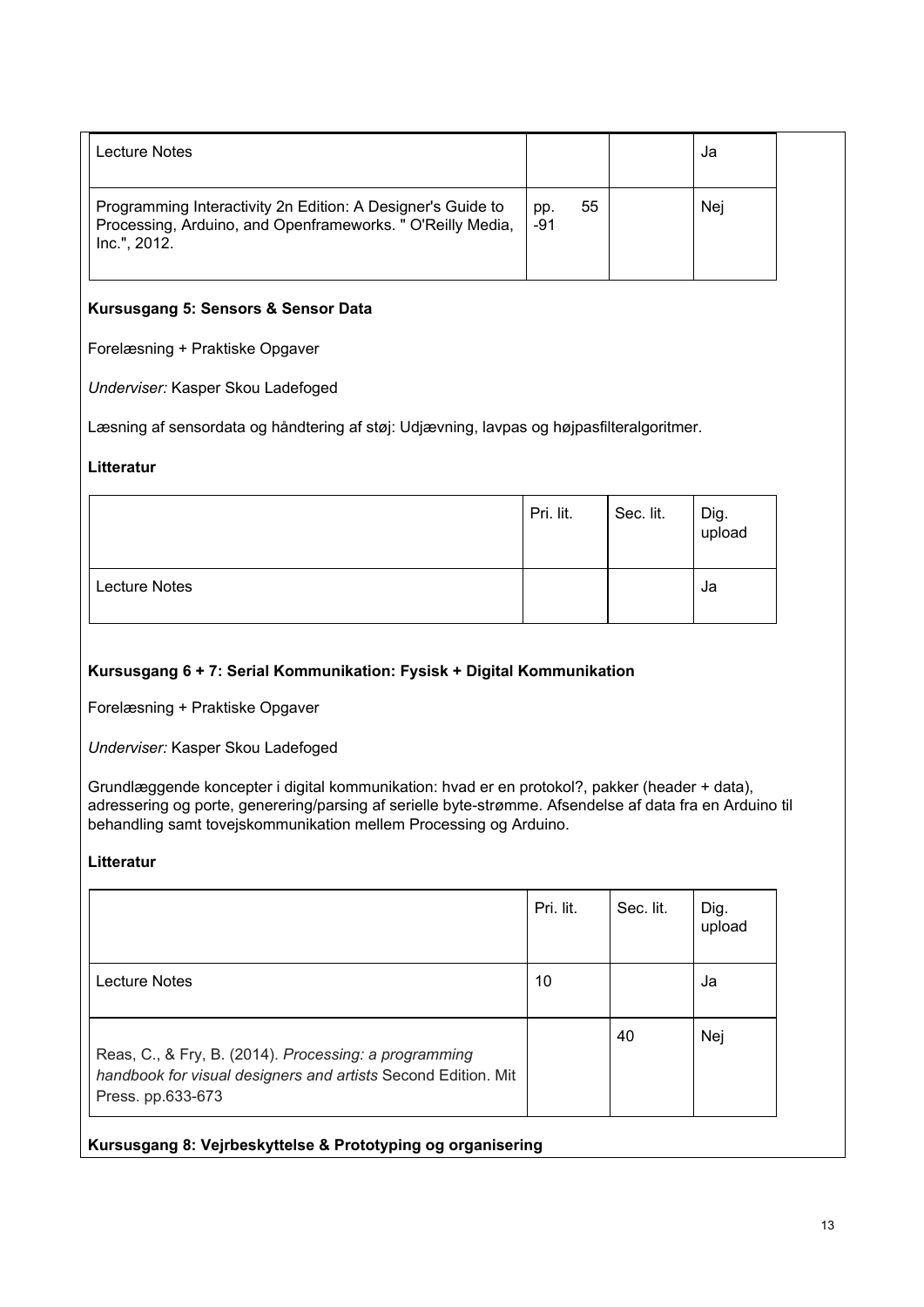| Lecture Notes                                                                                                                             |              |    | Ja  |
|-------------------------------------------------------------------------------------------------------------------------------------------|--------------|----|-----|
| Programming Interactivity 2n Edition: A Designer's Guide to<br>Processing, Arduino, and Openframeworks. " O'Reilly Media,<br>Inc.", 2012. | pp.<br>$-91$ | 55 | Nej |

# **Kursusgang 5: Sensors & Sensor Data**

Forelæsning + Praktiske Opgaver

*Underviser:* Kasper Skou Ladefoged

Læsning af sensordata og håndtering af støj: Udjævning, lavpas og højpasfilteralgoritmer.

#### **Litteratur**

|                      | Pri. lit. | Sec. lit. | Dig.<br>upload |
|----------------------|-----------|-----------|----------------|
| <b>Lecture Notes</b> |           |           | Ja             |

# **Kursusgang 6 + 7: Serial Kommunikation: Fysisk + Digital Kommunikation**

Forelæsning + Praktiske Opgaver

*Underviser:* Kasper Skou Ladefoged

Grundlæggende koncepter i digital kommunikation: hvad er en protokol?, pakker (header + data), adressering og porte, generering/parsing af serielle byte-strømme. Afsendelse af data fra en Arduino til behandling samt tovejskommunikation mellem Processing og Arduino.

# **Litteratur**

|                                                                                                                                             | Pri. lit. | Sec. lit. | Dig.<br>upload |
|---------------------------------------------------------------------------------------------------------------------------------------------|-----------|-----------|----------------|
| Lecture Notes                                                                                                                               | 10        |           | Ja             |
| Reas, C., & Fry, B. (2014). Processing: a programming<br>handbook for visual designers and artists Second Edition. Mit<br>Press. pp.633-673 |           | 40        | Nej            |

**Kursusgang 8: Vejrbeskyttelse & Prototyping og organisering**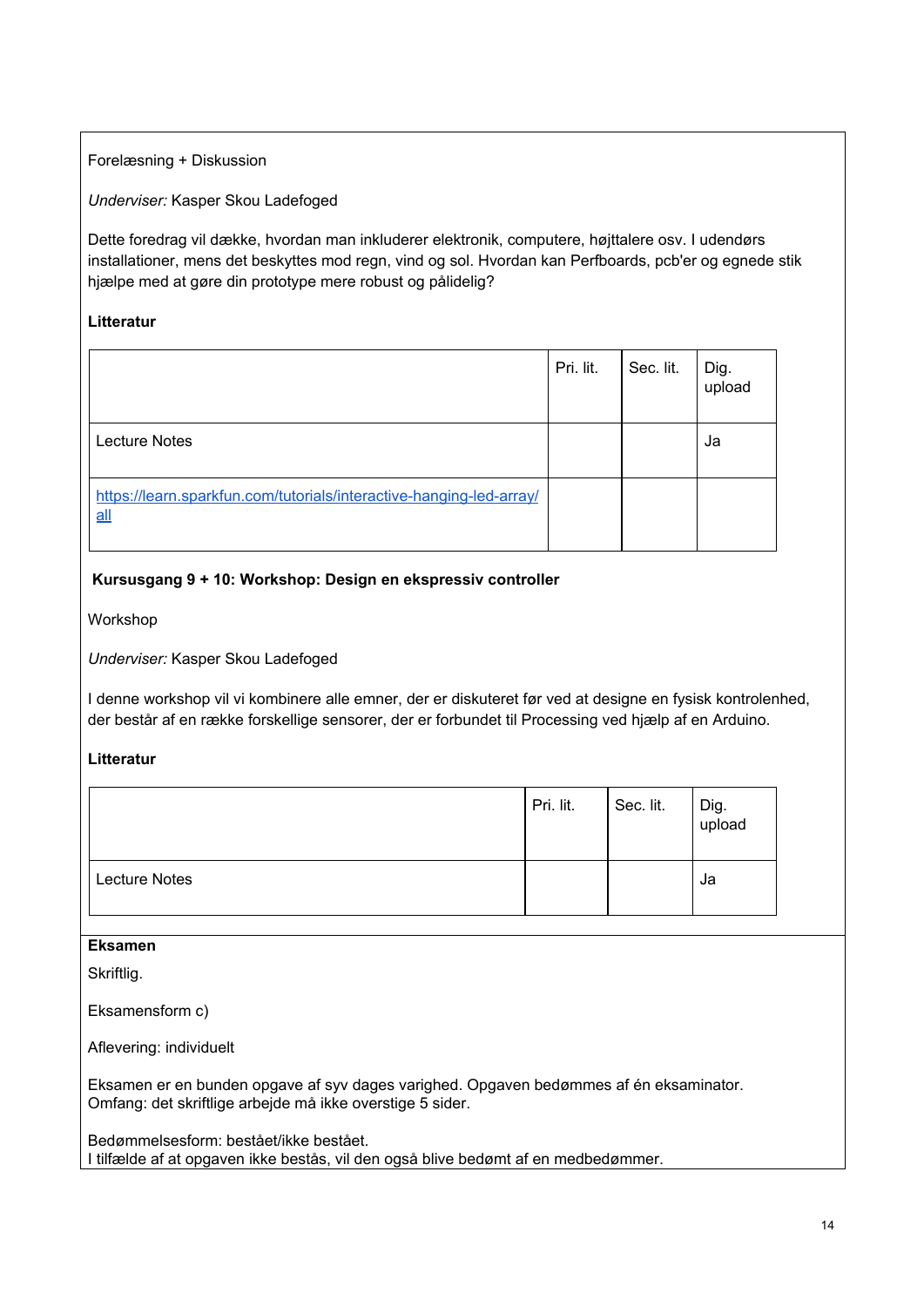# Forelæsning + Diskussion

*Underviser:* Kasper Skou Ladefoged

Dette foredrag vil dække, hvordan man inkluderer elektronik, computere, højttalere osv. I udendørs installationer, mens det beskyttes mod regn, vind og sol. Hvordan kan Perfboards, pcb'er og egnede stik hjælpe med at gøre din prototype mere robust og pålidelig?

## **Litteratur**

|                                                                              | Pri. lit. | Sec. lit. | Dig.<br>upload |
|------------------------------------------------------------------------------|-----------|-----------|----------------|
| <b>Lecture Notes</b>                                                         |           |           | Ja             |
| https://learn.sparkfun.com/tutorials/interactive-hanging-led-array/<br>$all$ |           |           |                |

# **Kursusgang 9 + 10: Workshop: Design en ekspressiv controller**

Workshop

*Underviser:* Kasper Skou Ladefoged

I denne workshop vil vi kombinere alle emner, der er diskuteret før ved at designe en fysisk kontrolenhed, der består af en række forskellige sensorer, der er forbundet til Processing ved hjælp af en Arduino.

#### **Litteratur**

|                      | Pri. lit. | Sec. lit. | Dig.<br>upload |
|----------------------|-----------|-----------|----------------|
| <b>Lecture Notes</b> |           |           | Ja             |

## **Eksamen**

Skriftlig.

Eksamensform c)

Aflevering: individuelt

Eksamen er en bunden opgave af syv dages varighed. Opgaven bedømmes af én eksaminator. Omfang: det skriftlige arbejde må ikke overstige 5 sider.

Bedømmelsesform: bestået/ikke bestået. I tilfælde af at opgaven ikke bestås, vil den også blive bedømt af en medbedømmer.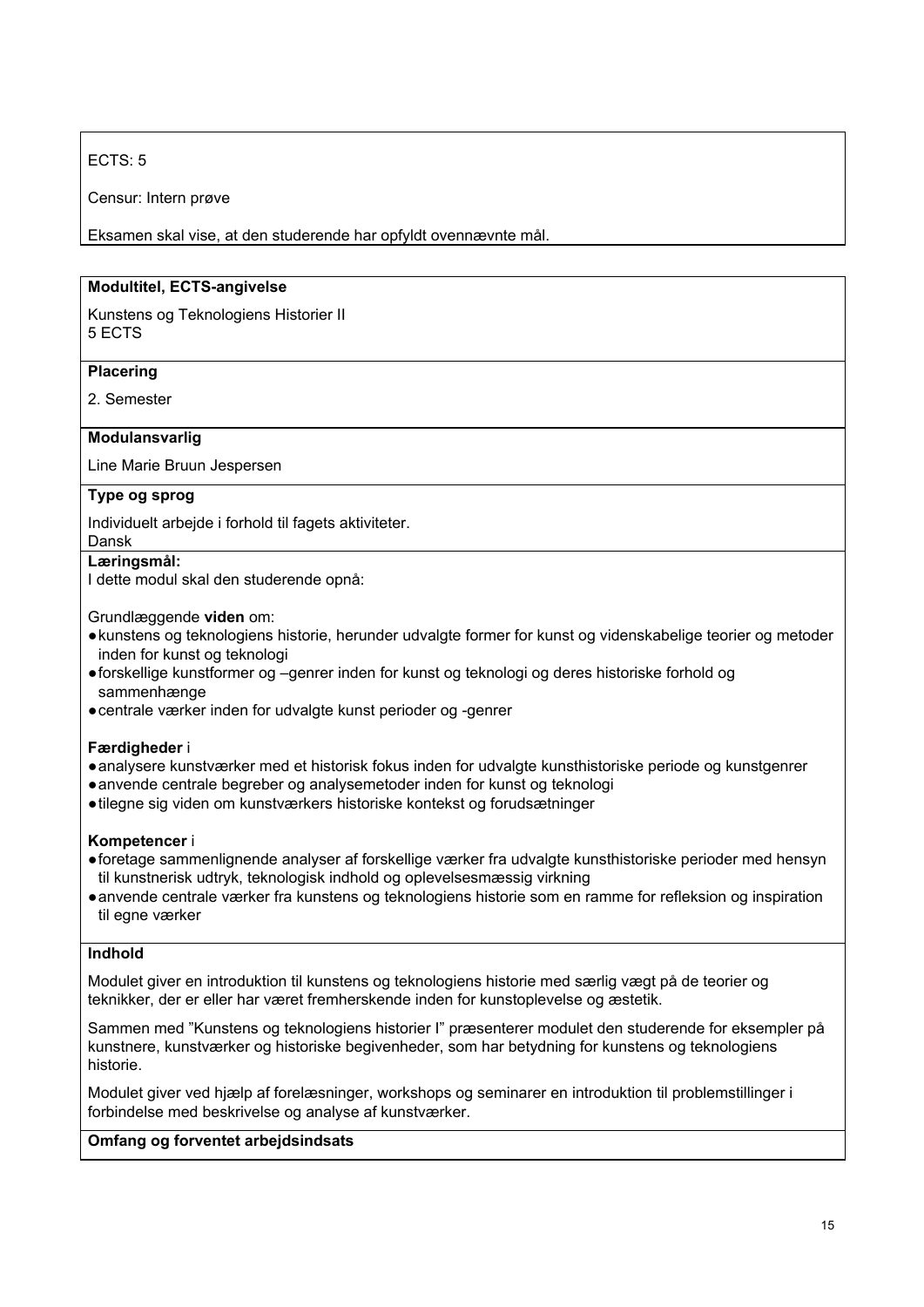# ECTS: 5

Censur: Intern prøve

Eksamen skal vise, at den studerende har opfyldt ovennævnte mål.

# **Modultitel, ECTS-angivelse**

Kunstens og Teknologiens Historier II 5 ECTS

#### **Placering**

2. Semester

#### **Modulansvarlig**

Line Marie Bruun Jespersen

#### **Type og sprog**

Individuelt arbejde i forhold til fagets aktiviteter.

#### Dansk **Læringsmål:**

I dette modul skal den studerende opnå:

Grundlæggende **viden** om:

- ●kunstens og teknologiens historie, herunder udvalgte former for kunst og videnskabelige teorier og metoder inden for kunst og teknologi
- ●forskellige kunstformer og –genrer inden for kunst og teknologi og deres historiske forhold og sammenhænge
- ●centrale værker inden for udvalgte kunst perioder og -genrer

#### **Færdigheder** i

- ●analysere kunstværker med et historisk fokus inden for udvalgte kunsthistoriske periode og kunstgenrer
- ●anvende centrale begreber og analysemetoder inden for kunst og teknologi
- ●tilegne sig viden om kunstværkers historiske kontekst og forudsætninger

#### **Kompetencer** i

- ●foretage sammenlignende analyser af forskellige værker fra udvalgte kunsthistoriske perioder med hensyn til kunstnerisk udtryk, teknologisk indhold og oplevelsesmæssig virkning
- ●anvende centrale værker fra kunstens og teknologiens historie som en ramme for refleksion og inspiration til egne værker

#### **Indhold**

Modulet giver en introduktion til kunstens og teknologiens historie med særlig vægt på de teorier og teknikker, der er eller har været fremherskende inden for kunstoplevelse og æstetik.

Sammen med "Kunstens og teknologiens historier I" præsenterer modulet den studerende for eksempler på kunstnere, kunstværker og historiske begivenheder, som har betydning for kunstens og teknologiens historie.

Modulet giver ved hjælp af forelæsninger, workshops og seminarer en introduktion til problemstillinger i forbindelse med beskrivelse og analyse af kunstværker.

#### **Omfang og forventet arbejdsindsats**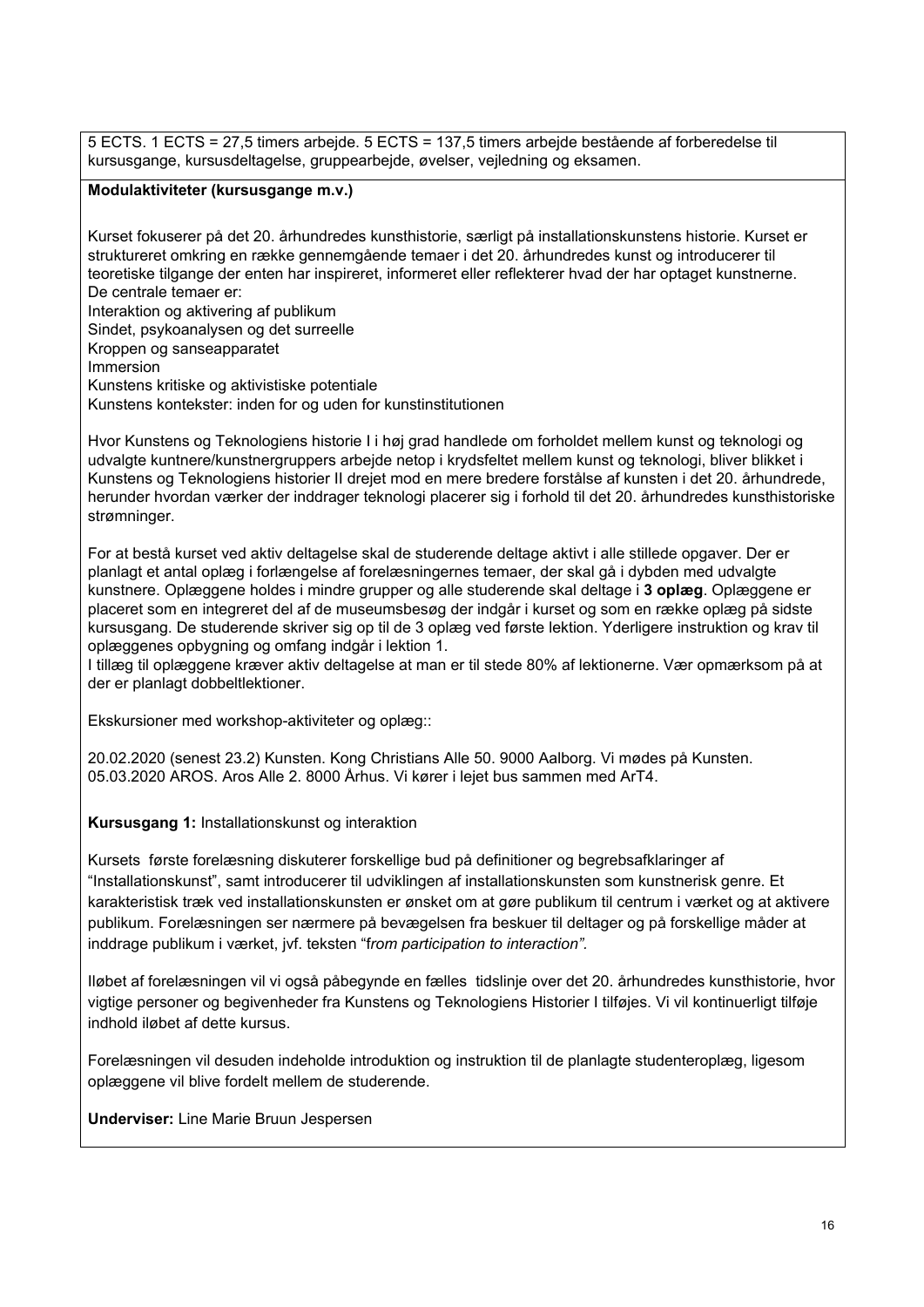5 ECTS. 1 ECTS = 27,5 timers arbejde. 5 ECTS = 137,5 timers arbejde bestående af forberedelse til kursusgange, kursusdeltagelse, gruppearbejde, øvelser, vejledning og eksamen.

#### **Modulaktiviteter (kursusgange m.v.)**

Kurset fokuserer på det 20. århundredes kunsthistorie, særligt på installationskunstens historie. Kurset er struktureret omkring en række gennemgående temaer i det 20. århundredes kunst og introducerer til teoretiske tilgange der enten har inspireret, informeret eller reflekterer hvad der har optaget kunstnerne. De centrale temaer er:

Interaktion og aktivering af publikum

Sindet, psykoanalysen og det surreelle

Kroppen og sanseapparatet

Immersion

Kunstens kritiske og aktivistiske potentiale

Kunstens kontekster: inden for og uden for kunstinstitutionen

Hvor Kunstens og Teknologiens historie I i høj grad handlede om forholdet mellem kunst og teknologi og udvalgte kuntnere/kunstnergruppers arbejde netop i krydsfeltet mellem kunst og teknologi, bliver blikket i Kunstens og Teknologiens historier II drejet mod en mere bredere forstålse af kunsten i det 20. århundrede, herunder hvordan værker der inddrager teknologi placerer sig i forhold til det 20. århundredes kunsthistoriske strømninger.

For at bestå kurset ved aktiv deltagelse skal de studerende deltage aktivt i alle stillede opgaver. Der er planlagt et antal oplæg i forlængelse af forelæsningernes temaer, der skal gå i dybden med udvalgte kunstnere. Oplæggene holdes i mindre grupper og alle studerende skal deltage i **3 oplæg**. Oplæggene er placeret som en integreret del af de museumsbesøg der indgår i kurset og som en række oplæg på sidste kursusgang. De studerende skriver sig op til de 3 oplæg ved første lektion. Yderligere instruktion og krav til oplæggenes opbygning og omfang indgår i lektion 1.

I tillæg til oplæggene kræver aktiv deltagelse at man er til stede 80% af lektionerne. Vær opmærksom på at der er planlagt dobbeltlektioner.

Ekskursioner med workshop-aktiviteter og oplæg::

20.02.2020 (senest 23.2) Kunsten. Kong Christians Alle 50. 9000 Aalborg. Vi mødes på Kunsten. 05.03.2020 AROS. Aros Alle 2. 8000 Århus. Vi kører i lejet bus sammen med ArT4.

**Kursusgang 1:** Installationskunst og interaktion

Kursets første forelæsning diskuterer forskellige bud på definitioner og begrebsafklaringer af "Installationskunst", samt introducerer til udviklingen af installationskunsten som kunstnerisk genre. Et karakteristisk træk ved installationskunsten er ønsket om at gøre publikum til centrum i værket og at aktivere publikum. Forelæsningen ser nærmere på bevægelsen fra beskuer til deltager og på forskellige måder at inddrage publikum i værket, jvf. teksten "f*rom participation to interaction".*

Iløbet af forelæsningen vil vi også påbegynde en fælles tidslinje over det 20. århundredes kunsthistorie, hvor vigtige personer og begivenheder fra Kunstens og Teknologiens Historier I tilføjes. Vi vil kontinuerligt tilføje indhold iløbet af dette kursus.

Forelæsningen vil desuden indeholde introduktion og instruktion til de planlagte studenteroplæg, ligesom oplæggene vil blive fordelt mellem de studerende.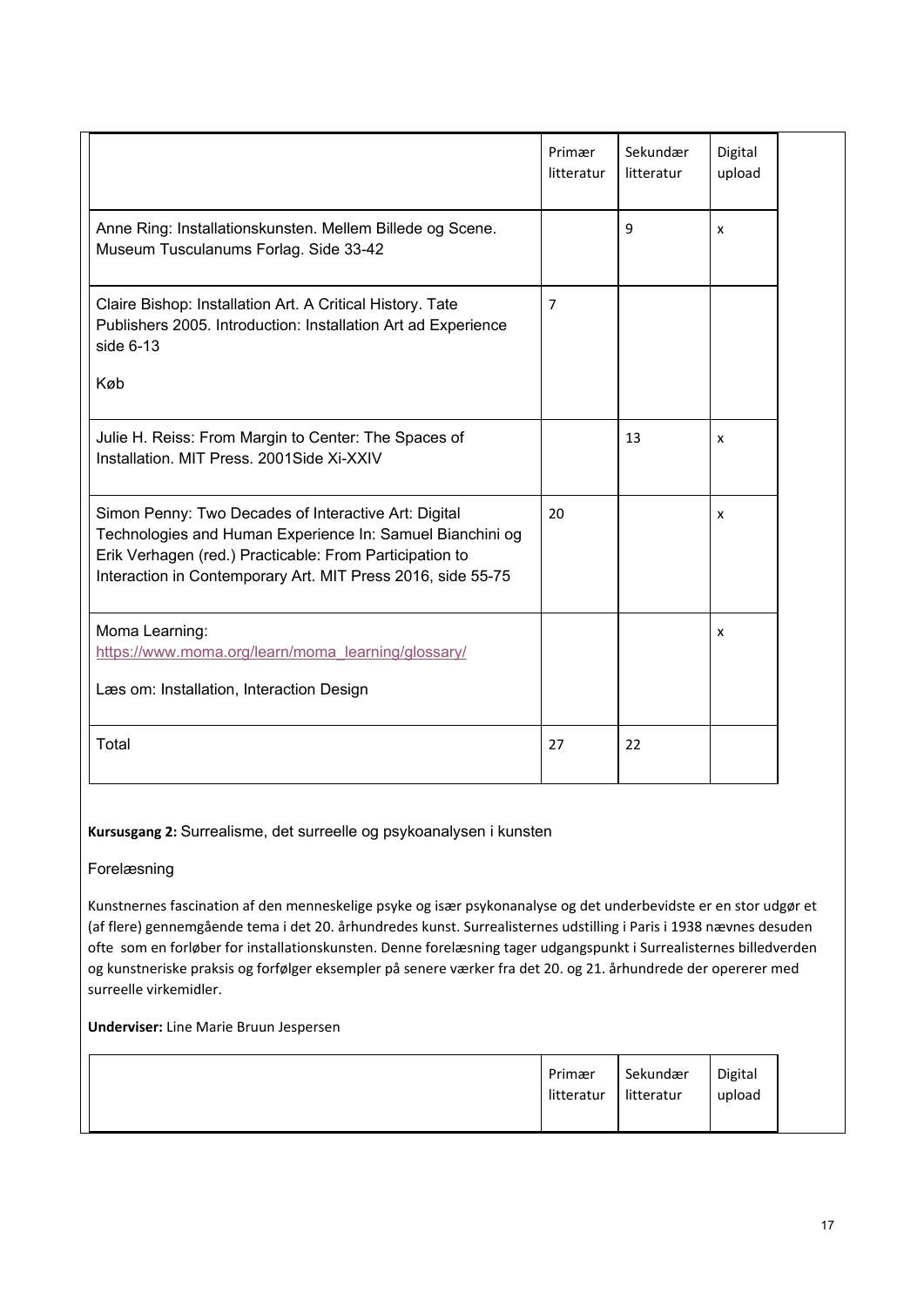|                                                                                                                                                                                                                                             | Primær<br>litteratur | Sekundær<br>litteratur | Digital<br>upload |  |
|---------------------------------------------------------------------------------------------------------------------------------------------------------------------------------------------------------------------------------------------|----------------------|------------------------|-------------------|--|
| Anne Ring: Installationskunsten. Mellem Billede og Scene.<br>Museum Tusculanums Forlag. Side 33-42                                                                                                                                          |                      | 9                      | x                 |  |
| Claire Bishop: Installation Art. A Critical History. Tate<br>Publishers 2005. Introduction: Installation Art ad Experience<br>side $6-13$                                                                                                   | 7                    |                        |                   |  |
| Køb                                                                                                                                                                                                                                         |                      |                        |                   |  |
| Julie H. Reiss: From Margin to Center: The Spaces of<br>Installation, MIT Press, 2001Side Xi-XXIV                                                                                                                                           |                      | 13                     | x                 |  |
| Simon Penny: Two Decades of Interactive Art: Digital<br>Technologies and Human Experience In: Samuel Bianchini og<br>Erik Verhagen (red.) Practicable: From Participation to<br>Interaction in Contemporary Art. MIT Press 2016, side 55-75 | 20                   |                        | x                 |  |
| Moma Learning:<br>https://www.moma.org/learn/moma_learning/glossary/                                                                                                                                                                        |                      |                        | x                 |  |
| Læs om: Installation, Interaction Design                                                                                                                                                                                                    |                      |                        |                   |  |
| Total                                                                                                                                                                                                                                       | 27                   | 22                     |                   |  |

#### **Kursusgang 2:** Surrealisme, det surreelle og psykoanalysen i kunsten

Forelæsning

Kunstnernes fascination af den menneskelige psyke og især psykonanalyse og det underbevidste er en stor udgør et (af flere) gennemgående tema i det 20. århundredes kunst. Surrealisternes udstilling i Paris i 1938 nævnes desuden ofte som en forløber for installationskunsten. Denne forelæsning tager udgangspunkt i Surrealisternes billedverden og kunstneriske praksis og forfølger eksempler på senere værker fra det 20. og 21. århundrede der opererer med surreelle virkemidler.

|--|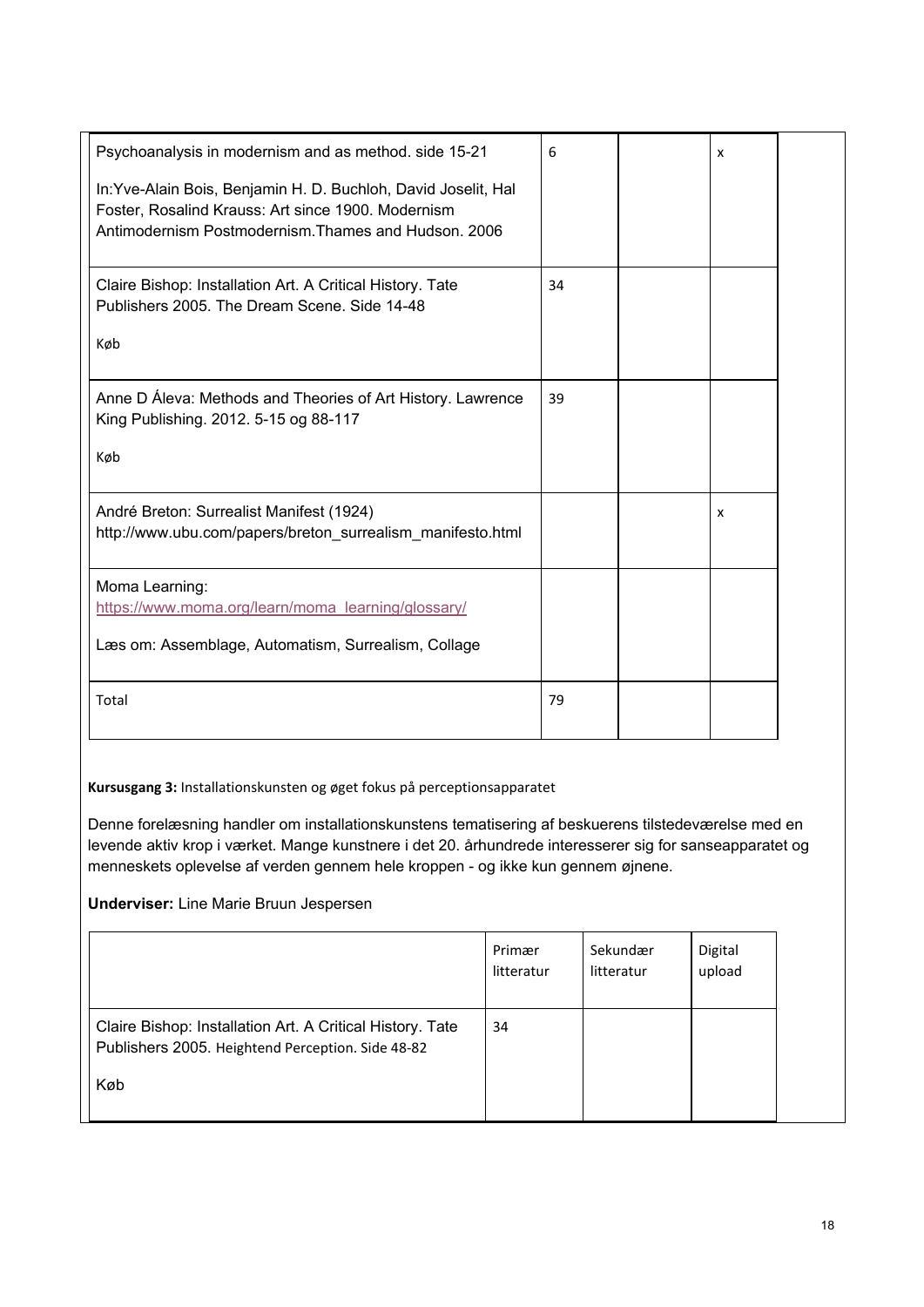| Psychoanalysis in modernism and as method. side 15-21<br>In: Yve-Alain Bois, Benjamin H. D. Buchloh, David Joselit, Hal<br>Foster, Rosalind Krauss: Art since 1900. Modernism<br>Antimodernism Postmodernism. Thames and Hudson, 2006 | 6  | x |  |
|---------------------------------------------------------------------------------------------------------------------------------------------------------------------------------------------------------------------------------------|----|---|--|
| Claire Bishop: Installation Art. A Critical History. Tate<br>Publishers 2005. The Dream Scene. Side 14-48<br>Køb                                                                                                                      | 34 |   |  |
| Anne D Áleva: Methods and Theories of Art History. Lawrence<br>King Publishing. 2012. 5-15 og 88-117<br>Køb                                                                                                                           | 39 |   |  |
| André Breton: Surrealist Manifest (1924)<br>http://www.ubu.com/papers/breton surrealism manifesto.html                                                                                                                                |    | X |  |
| Moma Learning:<br>https://www.moma.org/learn/moma_learning/glossary/<br>Læs om: Assemblage, Automatism, Surrealism, Collage                                                                                                           |    |   |  |
| Total                                                                                                                                                                                                                                 | 79 |   |  |

**Kursusgang 3:** Installationskunsten og øget fokus på perceptionsapparatet

Denne forelæsning handler om installationskunstens tematisering af beskuerens tilstedeværelse med en levende aktiv krop i værket. Mange kunstnere i det 20. århundrede interesserer sig for sanseapparatet og menneskets oplevelse af verden gennem hele kroppen - og ikke kun gennem øjnene.

|                                                                                                                       | Primær     | Sekundær   | Digital |
|-----------------------------------------------------------------------------------------------------------------------|------------|------------|---------|
|                                                                                                                       | litteratur | litteratur | upload  |
| Claire Bishop: Installation Art. A Critical History. Tate<br>Publishers 2005. Heightend Perception. Side 48-82<br>Køb | 34         |            |         |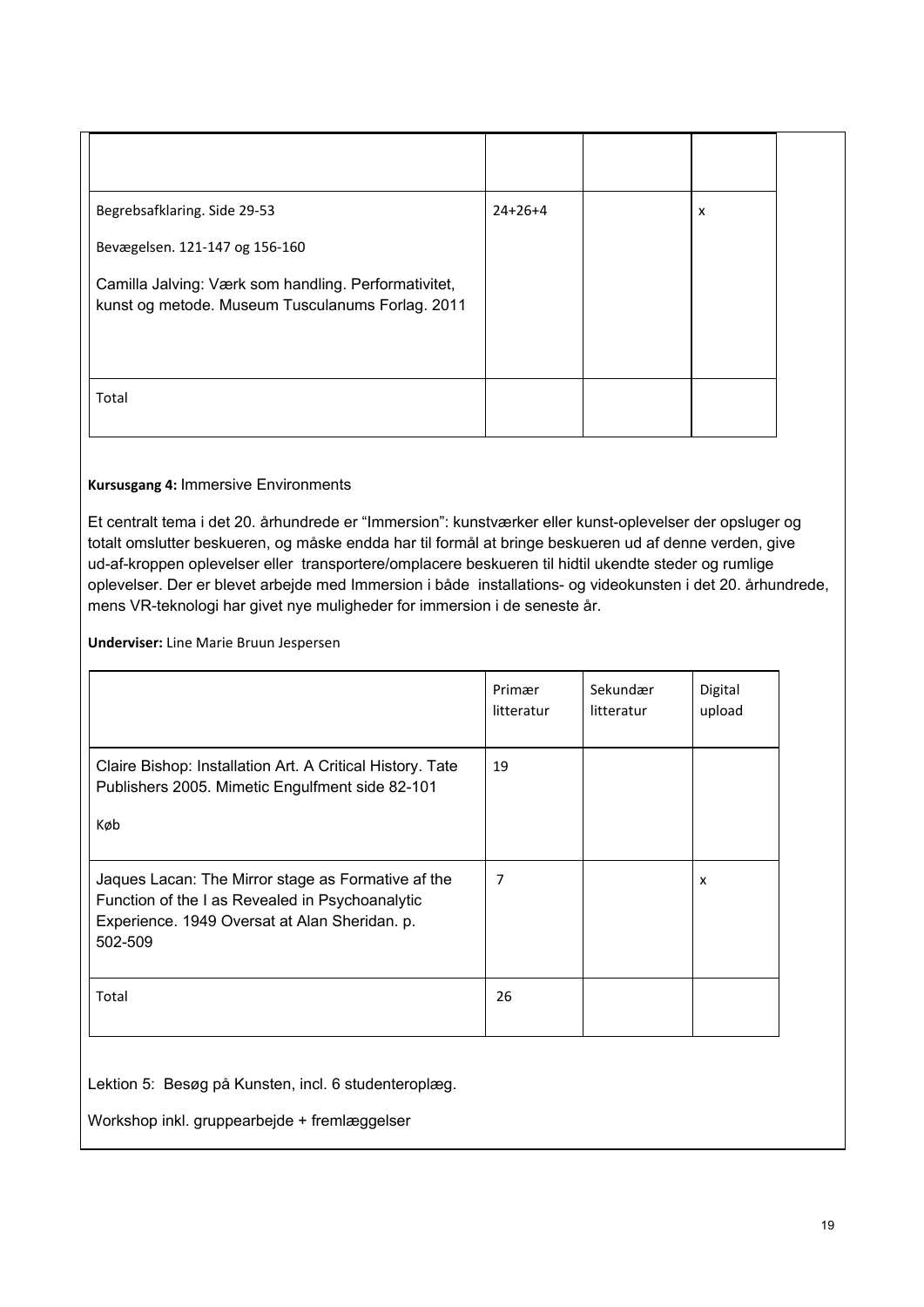| Begrebsafklaring. Side 29-53                                                                             | $24+26+4$ | X |  |
|----------------------------------------------------------------------------------------------------------|-----------|---|--|
| Bevægelsen. 121-147 og 156-160                                                                           |           |   |  |
| Camilla Jalving: Værk som handling. Performativitet,<br>kunst og metode. Museum Tusculanums Forlag. 2011 |           |   |  |
| Total                                                                                                    |           |   |  |

#### **Kursusgang 4:** Immersive Environments

Et centralt tema i det 20. århundrede er "Immersion": kunstværker eller kunst-oplevelser der opsluger og totalt omslutter beskueren, og måske endda har til formål at bringe beskueren ud af denne verden, give ud-af-kroppen oplevelser eller transportere/omplacere beskueren til hidtil ukendte steder og rumlige oplevelser. Der er blevet arbejde med Immersion i både installations- og videokunsten i det 20. århundrede, mens VR-teknologi har givet nye muligheder for immersion i de seneste år.

**Underviser:** Line Marie Bruun Jespersen

|                                                                                                                                                                   | Primær<br>litteratur | Sekundær<br>litteratur | Digital<br>upload |
|-------------------------------------------------------------------------------------------------------------------------------------------------------------------|----------------------|------------------------|-------------------|
| Claire Bishop: Installation Art. A Critical History. Tate<br>Publishers 2005. Mimetic Engulfment side 82-101<br>Køb                                               | 19                   |                        |                   |
| Jaques Lacan: The Mirror stage as Formative af the<br>Function of the I as Revealed in Psychoanalytic<br>Experience. 1949 Oversat at Alan Sheridan. p.<br>502-509 | 7                    |                        | x                 |
| Total                                                                                                                                                             | 26                   |                        |                   |

Lektion 5: Besøg på Kunsten, incl. 6 studenteroplæg.

Workshop inkl. gruppearbejde + fremlæggelser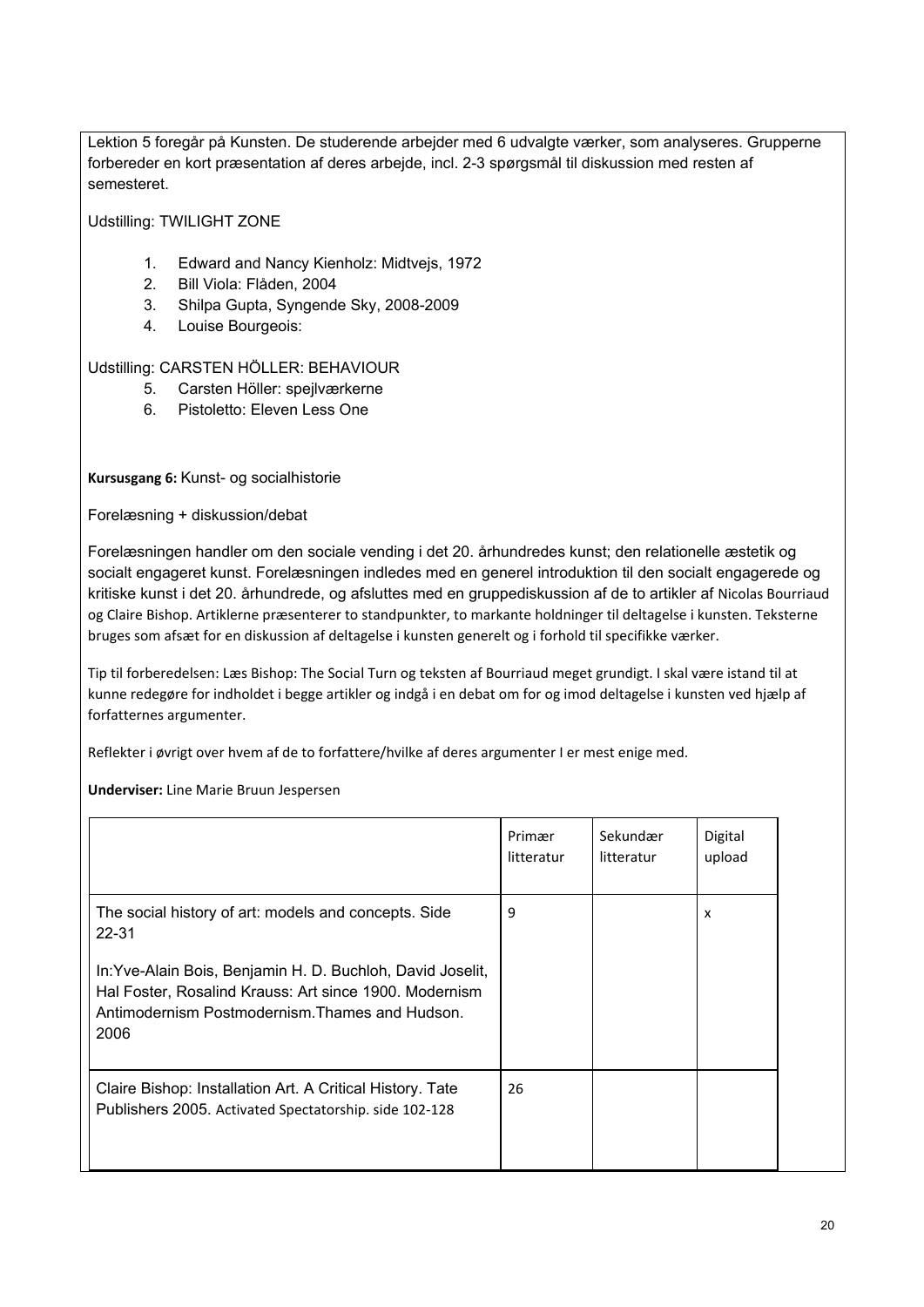Lektion 5 foregår på Kunsten. De studerende arbejder med 6 udvalgte værker, som analyseres. Grupperne forbereder en kort præsentation af deres arbejde, incl. 2-3 spørgsmål til diskussion med resten af semesteret.

Udstilling: TWILIGHT ZONE

- 1. Edward and Nancy Kienholz: Midtvejs, 1972
- 2. Bill Viola: Flåden, 2004
- 3. Shilpa Gupta, Syngende Sky, 2008-2009
- 4. Louise Bourgeois:

Udstilling: CARSTEN HÖLLER: BEHAVIOUR

- 5. Carsten Höller: spejlværkerne
- 6. Pistoletto: Eleven Less One

**Kursusgang 6:** Kunst- og socialhistorie

Forelæsning + diskussion/debat

Forelæsningen handler om den sociale vending i det 20. århundredes kunst; den relationelle æstetik og socialt engageret kunst. Forelæsningen indledes med en generel introduktion til den socialt engagerede og kritiske kunst i det 20. århundrede, og afsluttes med en gruppediskussion af de to artikler af Nicolas Bourriaud og Claire Bishop. Artiklerne præsenterer to standpunkter, to markante holdninger til deltagelse i kunsten. Teksterne bruges som afsæt for en diskussion af deltagelse i kunsten generelt og i forhold til specifikke værker.

Tip til forberedelsen: Læs Bishop: The Social Turn og teksten af Bourriaud meget grundigt. I skal være istand til at kunne redegøre for indholdet i begge artikler og indgå i en debat om for og imod deltagelse i kunsten ved hjælp af forfatternes argumenter.

Reflekter i øvrigt over hvem af de to forfattere/hvilke af deres argumenter I er mest enige med.

|                                                                                                                                                                                 | Primær<br>litteratur | Sekundær<br>litteratur | Digital<br>upload |
|---------------------------------------------------------------------------------------------------------------------------------------------------------------------------------|----------------------|------------------------|-------------------|
| The social history of art: models and concepts. Side<br>22-31                                                                                                                   | 9                    |                        | X                 |
| In: Yve-Alain Bois, Benjamin H. D. Buchloh, David Joselit,<br>Hal Foster, Rosalind Krauss: Art since 1900. Modernism<br>Antimodernism Postmodernism. Thames and Hudson.<br>2006 |                      |                        |                   |
| Claire Bishop: Installation Art. A Critical History. Tate<br>Publishers 2005. Activated Spectatorship. side 102-128                                                             | 26                   |                        |                   |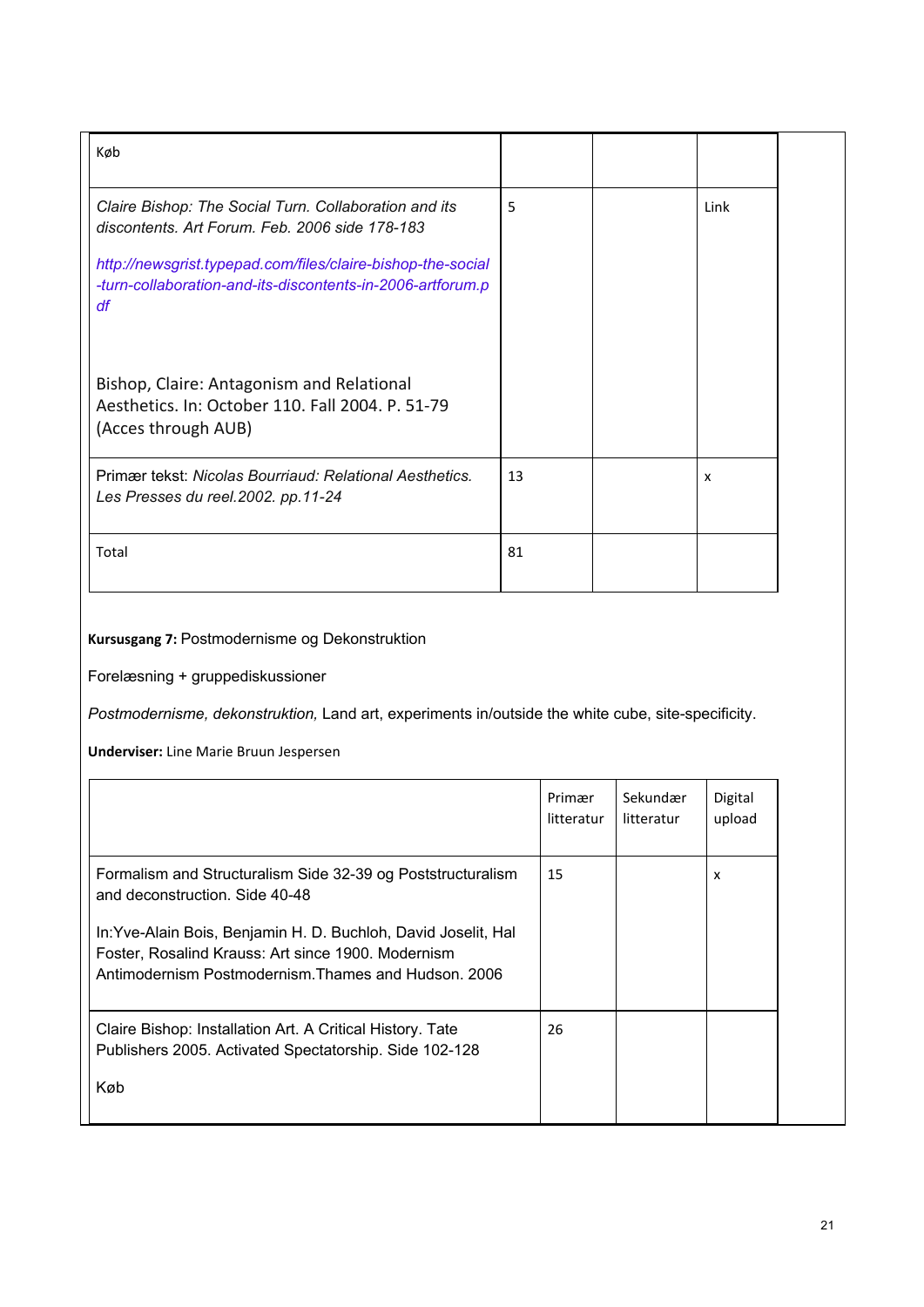| Køb                                                                                                                             |    |      |  |
|---------------------------------------------------------------------------------------------------------------------------------|----|------|--|
| Claire Bishop: The Social Turn. Collaboration and its<br>discontents. Art Forum. Feb. 2006 side 178-183                         | 5  | Link |  |
| http://newsgrist.typepad.com/files/claire-bishop-the-social<br>-turn-collaboration-and-its-discontents-in-2006-artforum.p<br>df |    |      |  |
| Bishop, Claire: Antagonism and Relational<br>Aesthetics. In: October 110. Fall 2004. P. 51-79<br>(Acces through AUB)            |    |      |  |
| Primær tekst: Nicolas Bourriaud: Relational Aesthetics.<br>Les Presses du reel. 2002. pp. 11-24                                 | 13 | x    |  |
| Total                                                                                                                           | 81 |      |  |

# **Kursusgang 7:** Postmodernisme og Dekonstruktion

Forelæsning + gruppediskussioner

*Postmodernisme, dekonstruktion,* Land art, experiments in/outside the white cube, site-specificity.

|                                                                                                                                                                              | Primær<br>litteratur | Sekundær<br>litteratur | Digital<br>upload |
|------------------------------------------------------------------------------------------------------------------------------------------------------------------------------|----------------------|------------------------|-------------------|
| Formalism and Structuralism Side 32-39 og Poststructuralism<br>and deconstruction. Side 40-48                                                                                | 15                   |                        | X                 |
| In: Yve-Alain Bois, Benjamin H. D. Buchloh, David Joselit, Hal<br>Foster, Rosalind Krauss: Art since 1900. Modernism<br>Antimodernism Postmodernism. Thames and Hudson, 2006 |                      |                        |                   |
| Claire Bishop: Installation Art. A Critical History. Tate<br>Publishers 2005. Activated Spectatorship. Side 102-128                                                          | 26                   |                        |                   |
| Køb                                                                                                                                                                          |                      |                        |                   |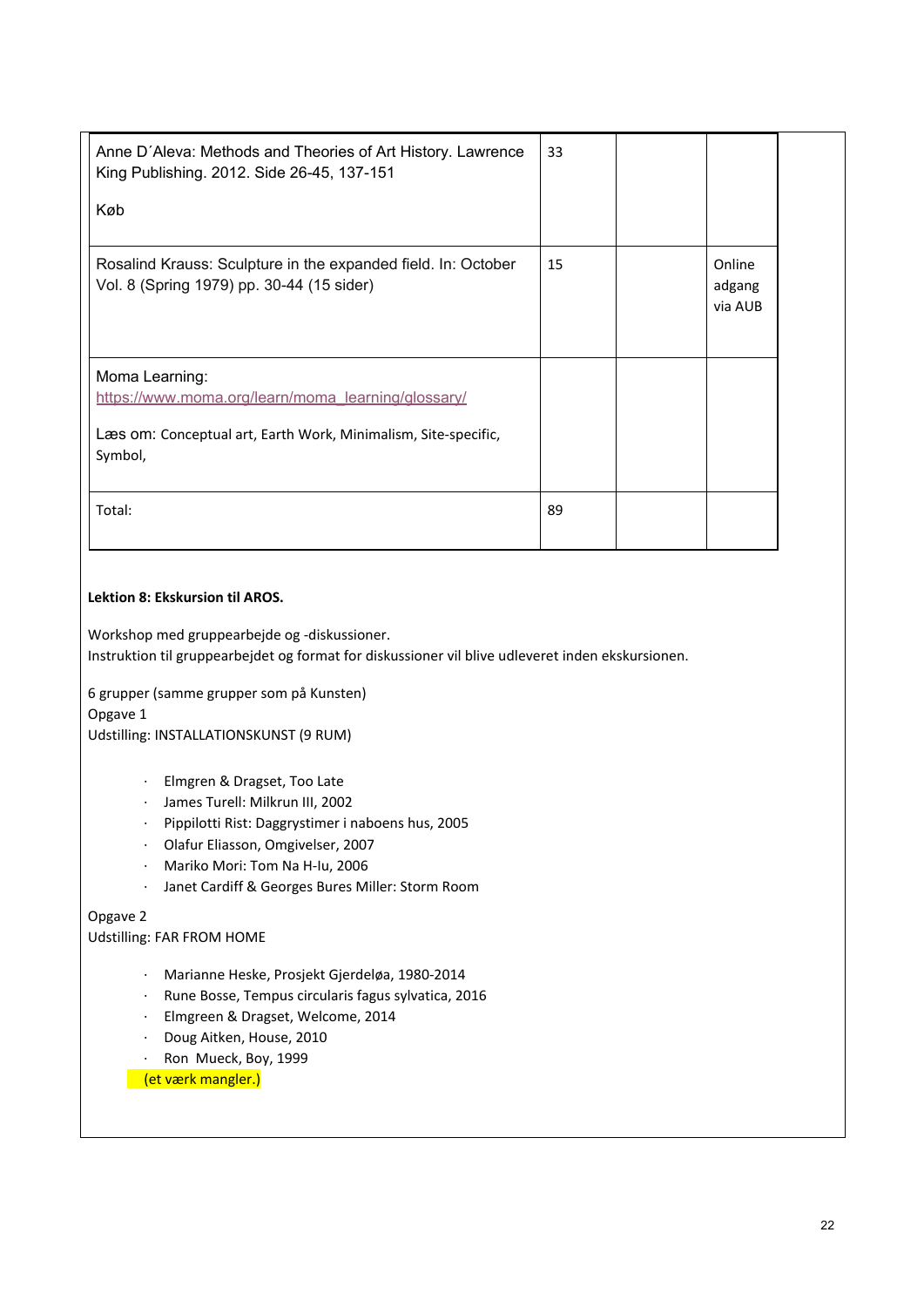| Anne D'Aleva: Methods and Theories of Art History. Lawrence<br>King Publishing. 2012. Side 26-45, 137-151<br>Køb                                  | 33 |                             |  |
|---------------------------------------------------------------------------------------------------------------------------------------------------|----|-----------------------------|--|
| Rosalind Krauss: Sculpture in the expanded field. In: October<br>Vol. 8 (Spring 1979) pp. 30-44 (15 sider)                                        | 15 | Online<br>adgang<br>via AUB |  |
| Moma Learning:<br>https://www.moma.org/learn/moma_learning/glossary/<br>Læs om: Conceptual art, Earth Work, Minimalism, Site-specific,<br>Symbol, |    |                             |  |
| Total:                                                                                                                                            | 89 |                             |  |

#### **Lektion 8: Ekskursion til AROS.**

Workshop med gruppearbejde og -diskussioner. Instruktion til gruppearbejdet og format for diskussioner vil blive udleveret inden ekskursionen.

6 grupper (samme grupper som på Kunsten)

Opgave 1

Udstilling: INSTALLATIONSKUNST (9 RUM)

- · Elmgren & Dragset, Too Late
- · James Turell: Milkrun III, 2002
- · Pippilotti Rist: Daggrystimer i naboens hus, 2005
- · Olafur Eliasson, Omgivelser, 2007
- · Mariko Mori: Tom Na H-Iu, 2006
- · Janet Cardiff & Georges Bures Miller: Storm Room

#### Opgave 2

Udstilling: FAR FROM HOME

- · Marianne Heske, Prosjekt Gjerdeløa, 1980-2014
- · Rune Bosse, Tempus circularis fagus sylvatica, 2016
- · Elmgreen & Dragset, Welcome, 2014
- · Doug Aitken, House, 2010
- · Ron Mueck, Boy, 1999

(et værk mangler.)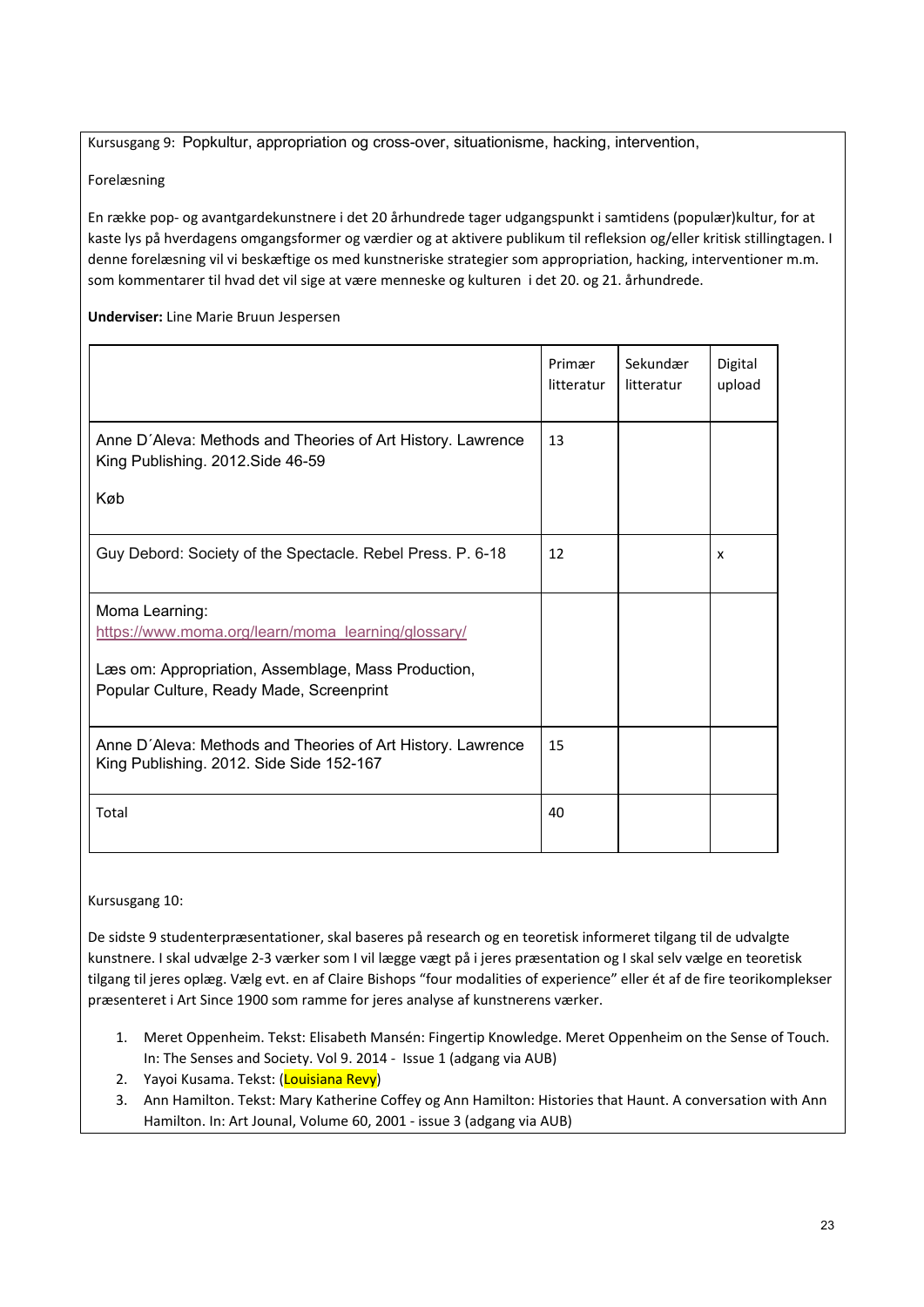Kursusgang 9: Popkultur, appropriation og cross-over, situationisme, hacking, intervention,

Forelæsning

En række pop- og avantgardekunstnere i det 20 århundrede tager udgangspunkt i samtidens (populær)kultur, for at kaste lys på hverdagens omgangsformer og værdier og at aktivere publikum til refleksion og/eller kritisk stillingtagen. I denne forelæsning vil vi beskæftige os med kunstneriske strategier som appropriation, hacking, interventioner m.m. som kommentarer til hvad det vil sige at være menneske og kulturen i det 20. og 21. århundrede.

**Underviser:** Line Marie Bruun Jespersen

|                                                                                                         | Primær<br>litteratur | Sekundær<br>litteratur | Digital<br>upload |
|---------------------------------------------------------------------------------------------------------|----------------------|------------------------|-------------------|
| Anne D'Aleva: Methods and Theories of Art History. Lawrence<br>King Publishing. 2012. Side 46-59        | 13                   |                        |                   |
| Køb                                                                                                     |                      |                        |                   |
| Guy Debord: Society of the Spectacle. Rebel Press. P. 6-18                                              | 12                   |                        | x                 |
| Moma Learning:<br>https://www.moma.org/learn/moma_learning/glossary/                                    |                      |                        |                   |
| Læs om: Appropriation, Assemblage, Mass Production,<br>Popular Culture, Ready Made, Screenprint         |                      |                        |                   |
| Anne D'Aleva: Methods and Theories of Art History. Lawrence<br>King Publishing. 2012. Side Side 152-167 | 15                   |                        |                   |
| Total                                                                                                   | 40                   |                        |                   |

Kursusgang 10:

De sidste 9 studenterpræsentationer, skal baseres på research og en teoretisk informeret tilgang til de udvalgte kunstnere. I skal udvælge 2-3 værker som I vil lægge vægt på i jeres præsentation og I skal selv vælge en teoretisk tilgang til jeres oplæg. Vælg evt. en af Claire Bishops "four modalities of experience" eller ét af de fire teorikomplekser præsenteret i Art Since 1900 som ramme for jeres analyse af kunstnerens værker.

- 1. Meret Oppenheim. Tekst: Elisabeth Mansén: Fingertip Knowledge. Meret Oppenheim on the Sense of Touch. In: The Senses and Society. Vol 9. 2014 - Issue 1 (adgang via AUB)
- 2. Yayoi Kusama. Tekst: (Louisiana Revy)
- 3. Ann Hamilton. Tekst: Mary Katherine Coffey og Ann Hamilton: Histories that Haunt. A conversation with Ann Hamilton. In: Art Jounal, Volume 60, 2001 - issue 3 (adgang via AUB)